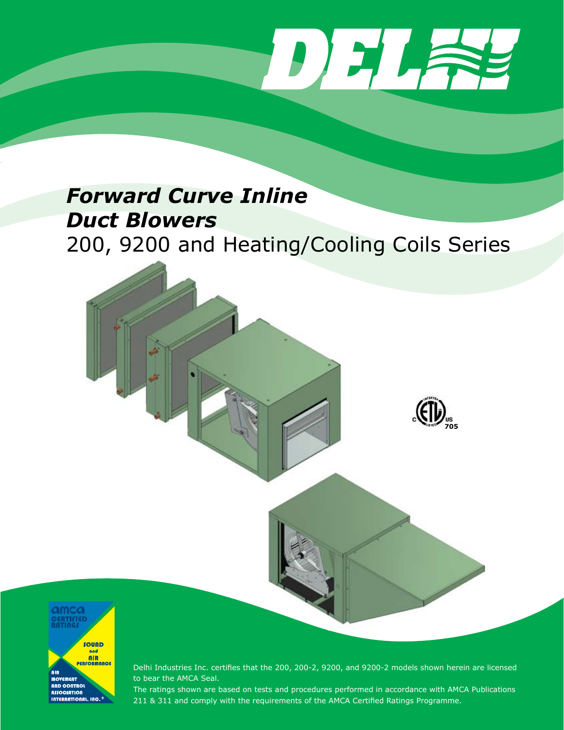DELA

**705**

# *Forward Curve Inline Duct Blowers* 200, 9200 and Heating/Cooling Coils Series



Delhi Industries Inc. certifies that the 200, 200-2, 9200, and 9200-2 models shown herein are licensed to bear the AMCA Seal.

The ratings shown are based on tests and procedures performed in accordance with AMCA Publications 211 & 311 and comply with the requirements of the AMCA Certified Ratings Programme.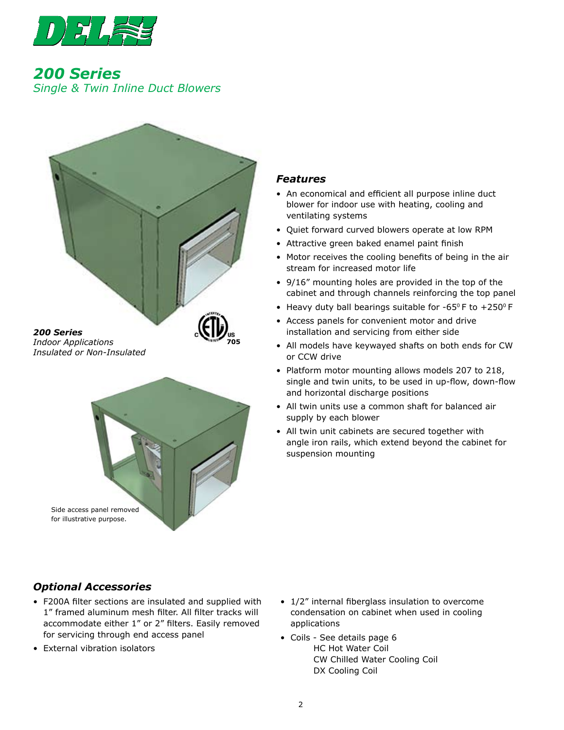

*200 Series Single & Twin Inline Duct Blowers*



## *Indoor Applications Insulated or Non-Insulated*



## *Features*

- An economical and efficient all purpose inline duct blower for indoor use with heating, cooling and ventilating systems
- Quiet forward curved blowers operate at low RPM
- Attractive green baked enamel paint finish
- Motor receives the cooling benefits of being in the air stream for increased motor life
- 9/16" mounting holes are provided in the top of the cabinet and through channels reinforcing the top panel
- Heavy duty ball bearings suitable for -65 $^{\circ}$  F to +250 $^{\circ}$  F
- Access panels for convenient motor and drive installation and servicing from either side
- All models have keywayed shafts on both ends for CW or CCW drive
- Platform motor mounting allows models 207 to 218, single and twin units, to be used in up-flow, down-flow and horizontal discharge positions
- All twin units use a common shaft for balanced air supply by each blower
- All twin unit cabinets are secured together with angle iron rails, which extend beyond the cabinet for suspension mounting

## *Optional Accessories*

- F200A filter sections are insulated and supplied with 1" framed aluminum mesh filter. All filter tracks will accommodate either 1" or 2" filters. Easily removed for servicing through end access panel
- External vibration isolators
- 1/2" internal fiberglass insulation to overcome condensation on cabinet when used in cooling applications
- Coils See details page 6 HC Hot Water Coil CW Chilled Water Cooling Coil DX Cooling Coil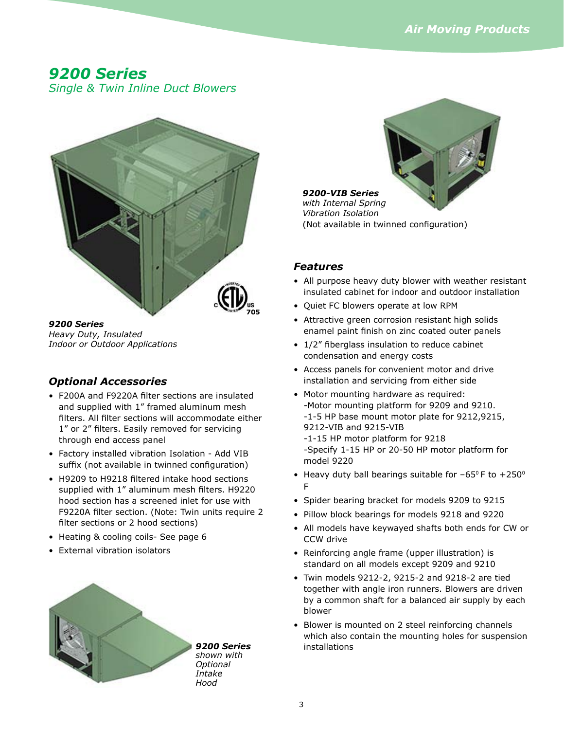## *9200 Series*

*Single & Twin Inline Duct Blowers*



*9200 Series Heavy Duty, Insulated Indoor or Outdoor Applications* 

## *Optional Accessories*

- F200A and F9220A filter sections are insulated and supplied with 1" framed aluminum mesh filters. All filter sections will accommodate either 1" or 2" filters. Easily removed for servicing through end access panel
- Factory installed vibration Isolation Add VIB suffix (not available in twinned configuration)
- H9209 to H9218 filtered intake hood sections supplied with 1" aluminum mesh filters. H9220 hood section has a screened inlet for use with F9220A filter section. (Note: Twin units require 2 filter sections or 2 hood sections)
- Heating & cooling coils- See page 6
- External vibration isolators



## *9200-VIB Series with Internal Spring Vibration Isolation* (Not available in twinned configuration)

## *Features*

- All purpose heavy duty blower with weather resistant insulated cabinet for indoor and outdoor installation
- Quiet FC blowers operate at low RPM
- Attractive green corrosion resistant high solids enamel paint finish on zinc coated outer panels
- 1/2" fiberglass insulation to reduce cabinet condensation and energy costs
- Access panels for convenient motor and drive installation and servicing from either side
- Motor mounting hardware as required: -Motor mounting platform for 9209 and 9210. -1-5 HP base mount motor plate for 9212,9215, 9212-VIB and 9215-VIB -1-15 HP motor platform for 9218 -Specify 1-15 HP or 20-50 HP motor platform for model 9220
- Heavy duty ball bearings suitable for  $-65^\circ$  F to  $+250^\circ$ F
- Spider bearing bracket for models 9209 to 9215
- Pillow block bearings for models 9218 and 9220
- All models have keywayed shafts both ends for CW or CCW drive
- Reinforcing angle frame (upper illustration) is standard on all models except 9209 and 9210
- Twin models 9212-2, 9215-2 and 9218-2 are tied together with angle iron runners. Blowers are driven by a common shaft for a balanced air supply by each blower
- Blower is mounted on 2 steel reinforcing channels which also contain the mounting holes for suspension installations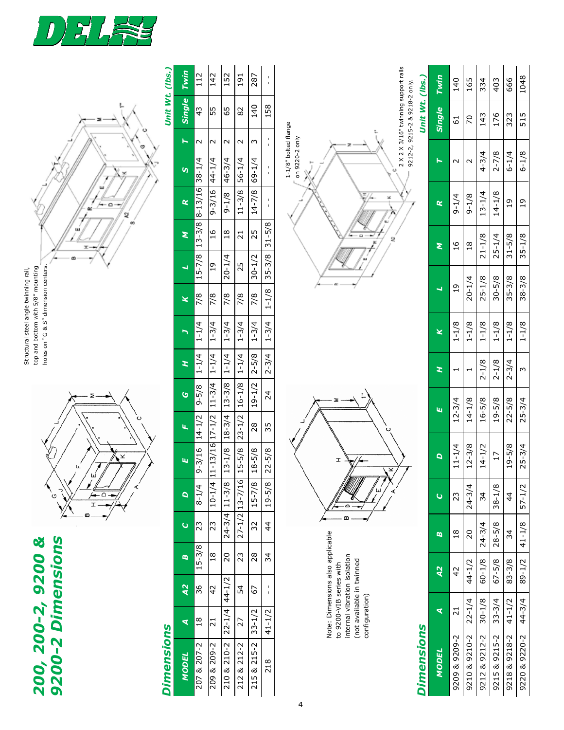

*200, 200-2, 9200 & 9200-2 Dimensions*

**200, 200-2, 9200 &<br>9200-2 Dimensions** 

 $\circ$ Y

Structural steel angle twinning rail, top and bottom with 5/8" mounting holes on "G & S" dimension centers.

holes on "G & S" dimension centers. top and bottom with 5/8" mounting Structural steel angle twinning rail,

7

|                           | Unit Wt. (lbs.)   | Twin                 | 112                | 142             | $\overline{152}$ | 191             | 287         | $\bar{\mathbf{I}}$                |                                                                                                                                            | Twin           | 140                                     | 165                                     | 334           | 403            | 666           | 1048          |
|---------------------------|-------------------|----------------------|--------------------|-----------------|------------------|-----------------|-------------|-----------------------------------|--------------------------------------------------------------------------------------------------------------------------------------------|----------------|-----------------------------------------|-----------------------------------------|---------------|----------------|---------------|---------------|
|                           |                   | Single               | $\frac{43}{3}$     | 55              | 65               | 82              | 140         | 158                               | 2 X 2 X 3/16" twinning support rails<br>Unit Wt. (lbs.)<br>9212-2, 9215-2 & 9218-2 only.                                                   | Single         | $\overline{6}$                          | 70                                      | 143           | 176            | 323           | 515           |
|                           |                   | h                    | $\sim$             | $\sim$          | $\sim$           | $\sim$          | $\sim$      | $\mathbf I$<br>$\mathbf{I}$       |                                                                                                                                            |                |                                         |                                         |               |                |               |               |
| ×                         |                   | <b>IS</b>            |                    | $44 - 1/4$      | $46 - 3/4$       | $56 - 1/4$      | $69 - 1/4$  | $\mathbf I$<br>$\bar{\mathbf{I}}$ | 1-1/8" bolted flange<br>on 9220-2 only                                                                                                     | ►              | $\sim$                                  | $\sim$                                  | $4 - 3/4$     | $2 - 7/8$      | $6 - 1/4$     | $6 - 1/8$     |
| ٥<br>œ<br>ą               |                   | $\propto$            | $8 - 13/16$ 38-1/4 | $9 - 3/16$      | $9 - 1/8$        | $11 - 3/8$      | $14 - 7/8$  | $\frac{1}{1}$                     | ж                                                                                                                                          | œ              | $9 - 1/4$                               | $9 - 1/8$                               | $13 - 1/4$    | $14 - 1/8$     | $\frac{1}{2}$ | $\frac{1}{2}$ |
| 60<br>I                   |                   | Σ                    | $13 - 3/8$         | 16              | 18               | $\overline{21}$ | 25          | $31 - 5/8$                        | ۰<br>2<br>œ                                                                                                                                | Σ              | $\frac{9}{1}$                           | $\frac{8}{10}$                          | $21 - 1/8$    | $25 - 1/4$     | $31 - 5/8$    | $35 - 1/8$    |
|                           |                   | پ                    | $15 - 7/8$         | $\overline{0}$  | $20 - 1/4$       | 25              | $30 - 1/2$  | $35 - 3/8$                        |                                                                                                                                            |                |                                         |                                         |               |                |               |               |
|                           |                   | ×                    | 7/8                | 7/8             | 7/8              | 7/8             | 7/8         | $1 - 1/8$                         |                                                                                                                                            | ų              | $\overline{1}9$                         | $20 - 1/4$                              | $25 - 1/8$    | $30 - 5/8$     | $35 - 3/8$    | $38 - 3/8$    |
|                           |                   | n                    | $1 - 1/4$          | $1 - 3/4$       | $1 - 3/4$        | $1 - 3/4$       | $1 - 3/4$   | $1 - 3/4$                         |                                                                                                                                            | ×              | $1 - 1/8$                               | $1 - 1/8$                               | $1 - 1/8$     | $1 - 1/8$      | $1 - 1/8$     | $1 - 1/8$     |
|                           |                   | H                    | $1 - 1/4$          | $1 - 1/4$       | $1 - 1/4$        | $1 - 1/4$       | $2 - 5/8$   | $2 - 3/4$                         |                                                                                                                                            | Ŧ,             | $\mathbf{\mathbf{\mathbf{\mathsf{H}}}}$ | $\mathbf{\mathbf{\mathbf{\mathsf{H}}}}$ | $2 - 1/8$     | $2 - 1/8$      | $2 - 3/4$     | $\omega$      |
|                           |                   | $\ddot{\circ}$       | $9 - 5/8$          | $11 - 3/4$      | $13 - 3/8$       | $16 - 1/8$      | $19 - 1/2$  | 24                                |                                                                                                                                            | Щ              | $12 - 3/4$                              | $14 - 1/8$                              | $16 - 5/8$    | $19 - 5/8$     | $22 - 5/8$    | $25 - 3/4$    |
|                           |                   | $\mathbf{u}_i$       | $14 - 1/2$         |                 | $18 - 3/4$       | $23 - 1/2$      | 28          | 35                                | ပ                                                                                                                                          |                |                                         |                                         |               |                |               |               |
| ×                         |                   | Lu <sub>l</sub>      | $9 - 3/16$         | 11-13/16 17-1/2 | $13 - 1/8$       | $15 - 5/8$      | $18 - 5/8$  | $22 - 5/8$                        | I                                                                                                                                          | $\mathbf{a}$   | $11 - 1/4$                              | $12 - 3/8$                              | $14 - 1/2$    | $\overline{1}$ | $19 - 5/8$    | $25 - 3/4$    |
| $\prec'$<br>≏<br><b>T</b> |                   | $\overline{a}$       | $8 - 1/4$          | $10 - 1/4$      | $11 - 3/8$       | 13-7/16         | $15 - 7/8$  | $19 - 5/8$                        | ∢                                                                                                                                          | ပ              | 23                                      | $24 - 3/4$                              | 34            | $38 - 1/8$     | $\frac{4}{3}$ | $57 - 1/2$    |
|                           |                   | $\mathbf C$          | $\overline{23}$    | 23              | $24 - 3/4$       | $27 - 1/2$      | 32          | $\ddot{4}$                        |                                                                                                                                            | ø              | $\frac{8}{18}$                          | 20                                      | $24 - 3/4$    | $28 - 5/8$     | 34            | $41 - 1/8$    |
|                           |                   | Ø                    | $15 - 3/8$         | 18              | 20               | 23              | 28          | 34                                |                                                                                                                                            | $\overline{A}$ | $\overline{4}$                          | 44-1/2                                  | $60 - 1/8$    | $67 - 5/8$     | $83 - 3/8$    | $89 - 1/2$    |
|                           |                   | $\overline{A}$       | 36                 | $\overline{4}$  | $44 - 1/2$       | 54              | 67          | $\mathbf I$<br>$\mathbf{r}$       |                                                                                                                                            |                |                                         |                                         |               |                |               |               |
|                           |                   | $\blacktriangledown$ | $\frac{8}{18}$     | 21              | $22 - 1/4$       | 27              | $33 - 1/2$  | $41 - 1/2$                        | Note: Dimensions also applicable<br>internal vibration isolation<br>(not available in twinned<br>to 9200-VIB series with<br>configuration) | ₹              | $\overline{21}$                         | $22 - 1/4$                              | $30 - 1/8$    | $33 - 3/4$     | $41 - 1/2$    | $44 - 3/4$    |
|                           | <b>Dimensions</b> | MODEL                | 207 & 207-2        | 209 & 209-2     | 210 & 210-2      | 212 & 212-2     | 215 & 215-2 | 218                               | <b>Dimensions</b>                                                                                                                          | <b>MODEL</b>   | 9209 & 9209-2                           | 9210 & 9210-2                           | 9212 & 9212-2 | 9215 & 9215-2  | 9218 & 9218-2 | 9220 & 9220-2 |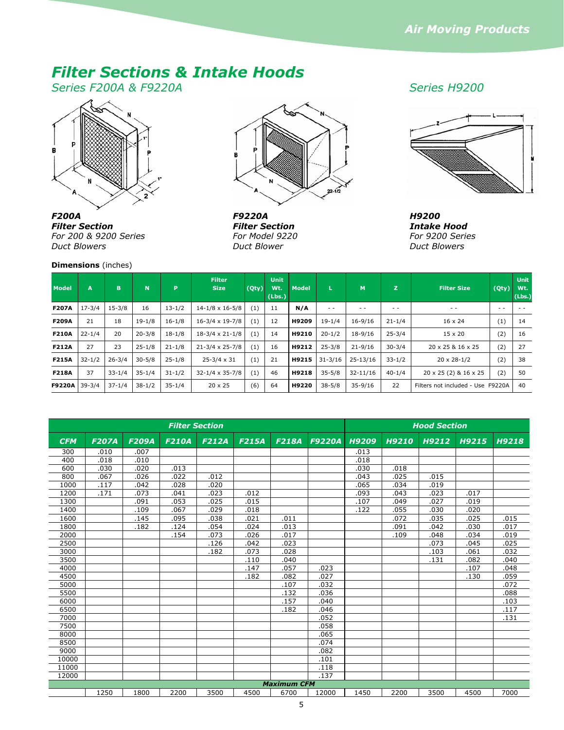# *Filter Sections & Intake Hoods*

*Series F200A & F9220A Series H9200*



*Filter Section For 200 & 9200 Series Duct Blowers* 

### **Dimensions** (inches)



*F9220A Filter Section For Model 9220 Duct Blower*



*H9200 Intake Hood For 9200 Series Duct Blowers*

| <b>Model</b>  | A          | B          | N          | <b>P</b>   | <b>Filter</b><br><b>Size</b> | (Qty) | <b>Unit</b><br>Wt.<br>(Lbs.) | <b>Model</b> | L           | M            | z             | <b>Filter Size</b>                | (Qty) | <b>Unit</b><br>Wt.<br>(Lbs.) |
|---------------|------------|------------|------------|------------|------------------------------|-------|------------------------------|--------------|-------------|--------------|---------------|-----------------------------------|-------|------------------------------|
| <b>F207A</b>  | $17 - 3/4$ | $15 - 3/8$ | 16         | $13 - 1/2$ | $14 - 1/8 \times 16 - 5/8$   | (1)   | 11                           | N/A          | $ -$        | $ -$         | $\sim$ $\sim$ | $ -$                              | $ -$  | $ -$                         |
| <b>F209A</b>  | 21         | 18         | $19 - 1/8$ | $16 - 1/8$ | $16 - 3/4 \times 19 - 7/8$   | (1)   | 12                           | H9209        | $19 - 1/4$  | $16 - 9/16$  | $21 - 1/4$    | $16 \times 24$                    | (1)   | 14                           |
| <b>F210A</b>  | $22 - 1/4$ | 20         | $20 - 3/8$ | $18 - 1/8$ | $18-3/4 \times 21-1/8$       | (1)   | 14                           | H9210        | $20 - 1/2$  | 18-9/16      | $25 - 3/4$    | $15 \times 20$                    | (2)   | 16                           |
| <b>F212A</b>  | 27         | 23         | $25 - 1/8$ | $21 - 1/8$ | $21 - 3/4 \times 25 - 7/8$   | (1)   | 16                           | H9212        | $25 - 3/8$  | $21 - 9/16$  | $30 - 3/4$    | 20 x 25 & 16 x 25                 | (2)   | 27                           |
| <b>F215A</b>  | $32 - 1/2$ | $26 - 3/4$ | $30 - 5/8$ | $25 - 1/8$ | $25 - 3/4 \times 31$         | (1)   | 21                           | H9215        | $31 - 3/16$ | 25-13/16     | $33 - 1/2$    | $20 \times 28 - 1/2$              | (2)   | 38                           |
| <b>F218A</b>  | 37         | $33 - 1/4$ | $35 - 1/4$ | $31 - 1/2$ | $32 - 1/4 \times 35 - 7/8$   | (1)   | 46                           | H9218        | $35 - 5/8$  | $32 - 11/16$ | $40 - 1/4$    | 20 x 25 (2) & 16 x 25             | (2)   | 50                           |
| <b>F9220A</b> | $39 - 3/4$ | $37 - 1/4$ | $38 - 1/2$ | $35 - 1/4$ | $20 \times 25$               | (6)   | 64                           | H9220        | $38 - 5/8$  | $35 - 9/16$  | 22            | Filters not included - Use F9220A |       | 40                           |

|            |              |              | <b>Filter Section</b> |              |              |                    |               |              |              | <b>Hood Section</b> |       |       |
|------------|--------------|--------------|-----------------------|--------------|--------------|--------------------|---------------|--------------|--------------|---------------------|-------|-------|
| <b>CFM</b> | <b>F207A</b> | <b>F209A</b> | <b>F210A</b>          | <b>F212A</b> | <b>F215A</b> | <b>F218A</b>       | <b>F9220A</b> | <b>H9209</b> | <b>H9210</b> | H9212               | H9215 | H9218 |
| 300        | .010         | .007         |                       |              |              |                    |               | .013         |              |                     |       |       |
| 400        | .018         | .010         |                       |              |              |                    |               | .018         |              |                     |       |       |
| 600        | .030         | .020         | .013                  |              |              |                    |               | .030         | .018         |                     |       |       |
| 800        | .067         | .026         | .022                  | .012         |              |                    |               | .043         | .025         | .015                |       |       |
| 1000       | .117         | .042         | .028                  | .020         |              |                    |               | .065         | .034         | .019                |       |       |
| 1200       | .171         | .073         | .041                  | .023         | .012         |                    |               | .093         | .043         | .023                | .017  |       |
| 1300       |              | .091         | .053                  | .025         | .015         |                    |               | .107         | .049         | .027                | .019  |       |
| 1400       |              | .109         | .067                  | .029         | .018         |                    |               | .122         | .055         | .030                | .020  |       |
| 1600       |              | .145         | .095                  | .038         | .021         | .011               |               |              | .072         | .035                | .025  | .015  |
| 1800       |              | .182         | .124                  | .054         | .024         | .013               |               |              | .091         | .042                | .030  | .017  |
| 2000       |              |              | .154                  | .073         | .026         | .017               |               |              | .109         | .048                | .034  | .019  |
| 2500       |              |              |                       | .126         | .042         | .023               |               |              |              | .073                | .045  | .025  |
| 3000       |              |              |                       | .182         | .073         | .028               |               |              |              | .103                | .061  | .032  |
| 3500       |              |              |                       |              | .110         | .040               |               |              |              | .131                | .082  | .040  |
| 4000       |              |              |                       |              | .147         | .057               | .023          |              |              |                     | .107  | .048  |
| 4500       |              |              |                       |              | .182         | .082               | .027          |              |              |                     | .130  | .059  |
| 5000       |              |              |                       |              |              | .107               | .032          |              |              |                     |       | .072  |
| 5500       |              |              |                       |              |              | .132               | .036          |              |              |                     |       | .088  |
| 6000       |              |              |                       |              |              | .157               | .040          |              |              |                     |       | .103  |
| 6500       |              |              |                       |              |              | .182               | .046          |              |              |                     |       | .117  |
| 7000       |              |              |                       |              |              |                    | .052          |              |              |                     |       | .131  |
| 7500       |              |              |                       |              |              |                    | .058          |              |              |                     |       |       |
| 8000       |              |              |                       |              |              |                    | .065          |              |              |                     |       |       |
| 8500       |              |              |                       |              |              |                    | .074          |              |              |                     |       |       |
| 9000       |              |              |                       |              |              |                    | .082          |              |              |                     |       |       |
| 10000      |              |              |                       |              |              |                    | .101          |              |              |                     |       |       |
| 11000      |              |              |                       |              |              |                    | .118          |              |              |                     |       |       |
| 12000      |              |              |                       |              |              |                    | .137          |              |              |                     |       |       |
|            |              |              |                       |              |              | <b>Maximum CFM</b> |               |              |              |                     |       |       |
|            | 1250         | 1800         | 2200                  | 3500         | 4500         | 6700               | 12000         | 1450         | 2200         | 3500                | 4500  | 7000  |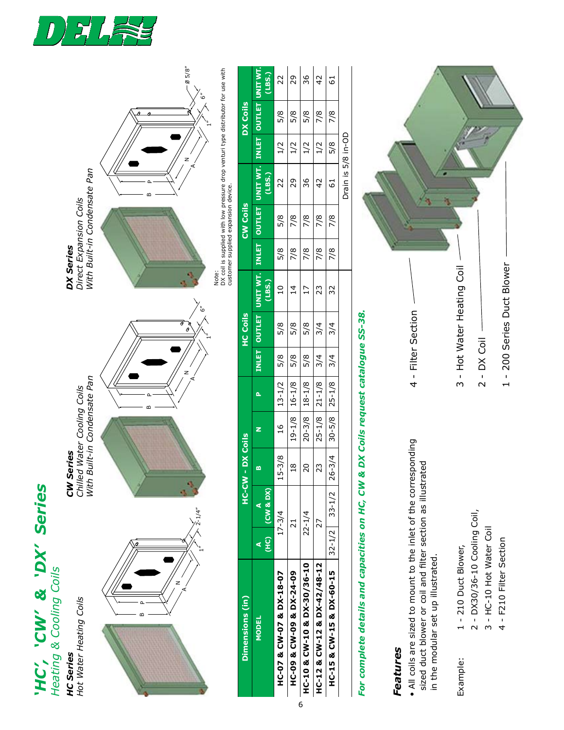

*HC Series*

**HC Series** 

*'HC', 'CW' & 'DX' Series*

'HC', 'CW' & 'DX' Series



*Features*

Example:

Features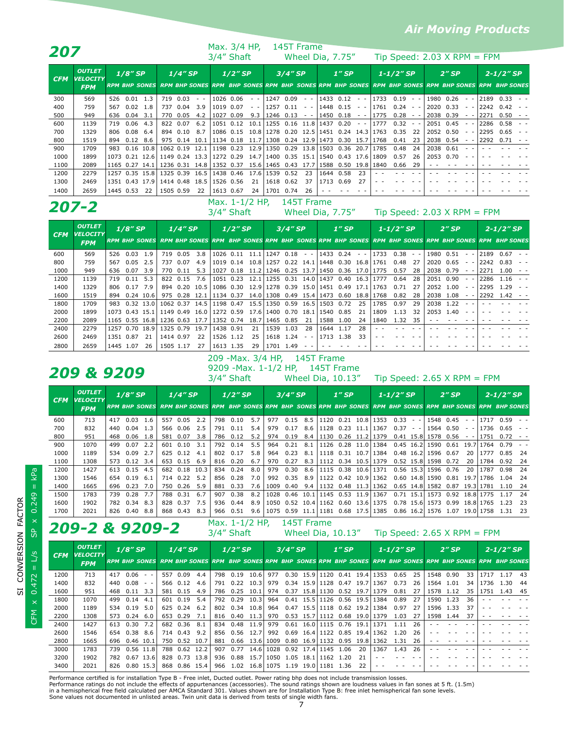## *Air Moving Products*

|            |                                                |     |            |     |           |           |                               | Max. 3/4 HP, |           |     |                                                                                                                                                |           | 145T Frame       |                                                   |    |                   |                |                |                               |           |                                                                                   |      |                                                                                                                                  |  |
|------------|------------------------------------------------|-----|------------|-----|-----------|-----------|-------------------------------|--------------|-----------|-----|------------------------------------------------------------------------------------------------------------------------------------------------|-----------|------------------|---------------------------------------------------|----|-------------------|----------------|----------------|-------------------------------|-----------|-----------------------------------------------------------------------------------|------|----------------------------------------------------------------------------------------------------------------------------------|--|
| 207        |                                                |     |            |     |           |           |                               | 3/4" Shaft   |           |     |                                                                                                                                                |           |                  | Wheel Dia, 7.75"                                  |    |                   |                |                | Tip Speed: $2.03$ X RPM = FPM |           |                                                                                   |      |                                                                                                                                  |  |
| <b>CFM</b> | <b>OUTLET</b><br><b>VELOCITY</b><br><b>FPM</b> |     | $1/8''$ SP |     |           | $1/4$ "SP |                               |              | $1/2$ "SP |     |                                                                                                                                                | $3/4$ "SP |                  | $1''$ SP                                          |    |                   | $1 - 1/2''$ SP |                |                               | $2''$ SP  |                                                                                   |      | $2 - 1/2$ "SP<br>RPM BHP SONES RPM BHP SONES RPM BHP SONES RPM BHP SONES RPM BHP SONES RPM BHP SONES RPM BHP SONES RPM BHP SONES |  |
| 300        | 569                                            | 526 | 0.01       | 1.3 | 719       | 0.03      | $\sim$ $\sim$                 |              |           |     | $1026$ 0.06 - - 1247 0.09                                                                                                                      |           |                  | $-$ - 1433 0.12 - -                               |    | $1733$ $0.19$ - - |                |                |                               | 1980 0.26 | $\frac{1}{2} \left( \frac{1}{2} \right) = \frac{1}{2} \left( \frac{1}{2} \right)$ |      | 2189 0.33 - -                                                                                                                    |  |
| 400        | 759                                            | 567 | 0.02       | 1.8 |           | 737 0.04  | 3.9                           |              | 1019 0.07 |     | $ -$ 1257 0.11                                                                                                                                 |           | $\sim$ 10 $\sim$ | $1448$ 0.15 - -                                   |    | $1761$ 0.24 - -   |                |                |                               | 2020 0.33 | $\sim$ $ \sim$                                                                    | 2242 | $0.42 - -$                                                                                                                       |  |
| 500        | 949                                            | 636 | 0.04       | 3.1 |           | 770 0.05  | 4.2                           |              | 1027 0.09 | 9.3 | 1246 0.13                                                                                                                                      |           | $\sim$ $-$       | $1450$ 0.18 - -                                   |    | 1775              | $0.28 - -$     |                |                               | 2038 0.39 | $\sim$ $ \sim$                                                                    | 2271 | 0.50                                                                                                                             |  |
| 600        | 1139                                           | 719 | 0.06       | 4.3 |           | 822 0.07  | 6.2                           |              |           |     |                                                                                                                                                |           |                  | $1051$ 0.12 10.1 1255 0.16 11.8 1437 0.20 --      |    | 1777              | 0.32           | $\sim$ $ \sim$ |                               | 2051 0.45 | $\sim$ $ \sim$                                                                    |      | l2286  0.58 --                                                                                                                   |  |
| 700        | 1329                                           | 806 | 0.08       | 6.4 |           | 894 0.10  | 8.7                           |              |           |     |                                                                                                                                                |           |                  | 1086 0.15 10.8 1278 0.20 12.5 1451 0.24 14.3      |    | 1763              | 0.35           | -22            |                               | 2052 0.50 | $\sim$ $ \sim$                                                                    | 2295 | $0.65 - -$                                                                                                                       |  |
| 800        | 1519                                           | 894 | 0.12       | 8.6 |           | 975 0.14  | 10.1                          |              |           |     |                                                                                                                                                |           |                  | 1134 0.18 11.7 1308 0.24 12.9 1473 0.30 15.7 1768 |    |                   | 0.41           | 23             |                               | 2038 0.54 | $ -$                                                                              | 2292 | $0.71 - -$                                                                                                                       |  |
| 900        | 1709                                           | 983 |            |     |           |           | $0.16$ 10.8 1062 0.19 12.1    |              |           |     |                                                                                                                                                |           |                  | 1198 0.23 12.9 1350 0.29 13.8 1503 0.36 20.7 1785 |    |                   | 0.48           | 24             |                               | 2038 0.61 |                                                                                   |      |                                                                                                                                  |  |
| 1000       | 1899                                           |     |            |     |           |           | 1073 0.21 12.6 1149 0.24 13.3 |              |           |     |                                                                                                                                                |           |                  | 1272 0.29 14.7 1400 0.35 15.1 1540 0.43 17.6 1809 |    |                   | 0.57           | 26             |                               | 2053 0.70 |                                                                                   |      |                                                                                                                                  |  |
| 1100       | 2089                                           |     |            |     |           |           | 1165 0.27 14.1 1236 0.31 14.8 |              |           |     |                                                                                                                                                |           |                  | 1352 0.37 15.6 1465 0.43 17.7 1588 0.50 19.8 1840 |    |                   | 0.66 29        |                |                               |           |                                                                                   |      |                                                                                                                                  |  |
| 1200       | 2279                                           |     |            |     |           |           | 1257 0.35 15.8 1325 0.39 16.5 |              |           |     | 1438 0.46 17.6 1539 0.52                                                                                                                       |           | 23               | 1644 0.58                                         | 23 |                   |                |                |                               |           |                                                                                   |      |                                                                                                                                  |  |
| 1300       | 2469                                           |     |            |     |           |           | 1351 0.43 17.9 1414 0.48 18.5 |              | 1526 0.56 | 21  | $1618$ 0.62 37                                                                                                                                 |           |                  | 1713 0.69                                         | 27 |                   |                |                |                               |           |                                                                                   |      |                                                                                                                                  |  |
| 1400       | 2659                                           |     | 1445 0.53  | 22  | 1505 0.59 |           | 22 l                          |              | 1613 0.67 |     | 24 1701 0.74<br>$\mathbf{r}$ , and $\mathbf{r}$ , and $\mathbf{r}$ , and $\mathbf{r}$ , and $\mathbf{r}$ , and $\mathbf{r}$ , and $\mathbf{r}$ |           | -26              |                                                   |    |                   |                |                |                               |           |                                                                                   |      |                                                                                                                                  |  |

## **207-2** Max. 1-1/2 HP, 145T Frame<br>3/4" Shaft Mheel Dia . 7.75"

| ZU7-2      |                                                |           |            |             |                          |           |      | $3/4''$ Shaft                                |           |      |                                        |           |             |                            | Wheel Dia, 7.75"         |       |                                         |                |     |           | Tip Speed: $2.03$ X RPM = FPM |                |      |                                                                                                                                   |  |
|------------|------------------------------------------------|-----------|------------|-------------|--------------------------|-----------|------|----------------------------------------------|-----------|------|----------------------------------------|-----------|-------------|----------------------------|--------------------------|-------|-----------------------------------------|----------------|-----|-----------|-------------------------------|----------------|------|-----------------------------------------------------------------------------------------------------------------------------------|--|
| <b>CFM</b> | <b>OUTLET</b><br><b>VELOCITY</b><br><b>FPM</b> |           | $1/8''$ SP |             |                          | $1/4$ "SP |      |                                              | $1/2$ "SP |      |                                        | $3/4$ "SP |             |                            | $1''$ SP                 |       |                                         | $1 - 1/2''$ SP |     |           | $2''$ SP                      |                |      | $2 - 1/2''$ SP<br>RPM BHP SONES RPM BHP SONES RPM BHP SONES RPM BHP SONES RPM BHP SONES RPM BHP SONES RPM BHP SONES RPM BHP SONES |  |
| 600        | 569                                            | 526       | 0.03       | 1.9         | 719                      | 0.05      | 3.8  | 1026 0.11                                    |           |      | $11.1$   1247 0.18 - -   1433 0.24 - - |           |             |                            |                          |       | 1733                                    | $0.38 - -$     |     |           | 1980 0.51                     | $\sim$ $ \sim$ |      | 2189 0.67                                                                                                                         |  |
| 800        | 759                                            | 567       | 0.05       | 2.5         |                          | 737 0.07  | 4.9  | 1019 0.14                                    |           |      | 10.8 1257                              |           |             |                            | $0.22$ 14.1 1448 0.30    | 16.81 | 1761                                    | 0.48           | -27 |           | 2020 0.65                     | $\sim$ $ \sim$ | 2242 | 0.83                                                                                                                              |  |
| 1000       | 949                                            | 636       | 0.07       | 3.9         |                          | 770 0.11  | 5.3  | 1027                                         | 0.18      | 11.2 |                                        |           |             |                            | 1246 0.25 13.7 1450 0.36 | 17.01 | 1775                                    | 0.57           | 28  |           | 2038 0.79                     |                | 2271 | 1.00                                                                                                                              |  |
| 1200       | 1139                                           | 719       | 0.11       | 5.3         |                          | 822 0.15  | 7.6  | 1051 0.23                                    |           | 12.1 | 1255 0.31 14.0 1437 0.40               |           |             |                            |                          | 16.3  | 1777                                    | 0.64           | 28  |           | 2051 0.90                     |                | 2286 | 1.16                                                                                                                              |  |
| 1400       | 1329                                           | 806       | 0.17       | 7.9         |                          | 894 0.20  |      | 10.5 1086 0.30 12.9 1278 0.39 15.0 1451 0.49 |           |      |                                        |           |             |                            |                          |       | 17.1   1763                             | 0.71           | -27 |           | 2052 1.00                     |                | 2295 | 1.29                                                                                                                              |  |
| 1600       | 1519                                           | 894       |            | $0.24$ 10.6 |                          |           |      | 975 0.28 12.1 1134 0.37                      |           |      |                                        |           |             |                            |                          |       | 14.0 1308 0.49 15.4 1473 0.60 18.8 1768 | 0.82           | -28 | 2038 1.08 |                               |                |      | 2292 1.42                                                                                                                         |  |
| 1800       | 1709                                           | 983       |            | $0.32$ 13.0 |                          |           |      | 1062 0.37 14.5 1198 0.47 15.5                |           |      | 1350 0.59 16.5 1503 0.72               |           |             |                            |                          | 25    | 1785                                    | 0.97           | 29  |           | 2038 1.22                     |                |      |                                                                                                                                   |  |
| 2000       | 1899                                           |           |            |             |                          |           |      | 1073 0.43 15.1 1149 0.49 16.0 1272 0.59      |           | 17.6 |                                        |           |             | 1400 0.70 18.1   1540 0.85 |                          | 21    | 1809                                    | 1.13           | 32  | 2053      | 1.40                          |                |      |                                                                                                                                   |  |
| 2200       | 2089                                           |           |            |             | 1165 0.55 16.8 1236 0.63 |           |      | 17.7 1352 0.74                               |           | 18.7 | 1465                                   | 0.85      | 21          | 1588                       | 1.00                     | 24    | 1840                                    | 1.32           | 35  |           |                               |                |      |                                                                                                                                   |  |
| 2400       | 2279                                           |           | 1257 0.70  |             | 18.9 1325 0.79           |           | 19.7 | 1438 0.91                                    |           | 21   | 1539                                   | 1.03      | 28          | 1644 1.17                  |                          | 28    |                                         |                |     |           |                               |                |      |                                                                                                                                   |  |
| 2600       | 2469                                           | 1351 0.87 |            | 21          | 1414 0.97                |           | 22   | 1526 1.12                                    |           | 25   | 1618 1.24                              |           | $\sim$ $ -$ | 1713 1.38                  |                          | 33    |                                         |                |     |           |                               |                |      |                                                                                                                                   |  |
| 2800       | 2659                                           | 1445 1.07 |            | 26          | 1505 1.17                |           | 27   | 1613 1.35                                    |           | 29   | 1701 1.49                              |           |             |                            |                          |       |                                         |                |     |           |                               |                |      |                                                                                                                                   |  |

**209 & 9209** 9209 - Max. 1-1/2 HP, 145T Frame<br>3/4" Shaft Wheel Dia, 10.13" 209 -Max. 3/4 HP, 145T Frame

 $Tip Speed: 2.65 X RPM = FPM$ 

| <b>CFM</b> | <b>OUTLET</b><br><b>VELOCITY</b> |     | $1/8$ "SP<br>RPM BHP SONES RPM BHP SONES RPM BHP SONES RPM BHP SONES RPM BHP SONES RPM BHP SONES RPM BHP SONES RPM BHP SONES |     |     | $1/4$ "SP |      |     | $1/2$ "SP |     |      | $3/4$ "SP |      |                            | $1''$ SP       |             |                | $1 - 1/2''$ SP |                |                     | $2''$ SP  |       |           | $2 - 1/2''$ SP |      |
|------------|----------------------------------|-----|------------------------------------------------------------------------------------------------------------------------------|-----|-----|-----------|------|-----|-----------|-----|------|-----------|------|----------------------------|----------------|-------------|----------------|----------------|----------------|---------------------|-----------|-------|-----------|----------------|------|
|            | <b>FPM</b>                       |     |                                                                                                                              |     |     |           |      |     |           |     |      |           |      |                            |                |             |                |                |                |                     |           |       |           |                |      |
| 600        | 713                              | 417 | 0.03                                                                                                                         | 1.6 | 557 | 0.05      | 2.2  | 798 | 0.10      | 5.7 | 977  | 0.15      | 8.5  | 1120 0.21                  |                | 10.8        | 1353           | 0.33           | $\sim$ $ \sim$ |                     | 1548 0.45 |       | 1717      | 0.59           |      |
| 700        | 832                              | 440 | 0.04                                                                                                                         | 1.3 |     | 566 0.06  | 2.5  | 791 | 0.11      | 5.4 | 979  | 0.17      | 8.6  | 1128                       |                | $0.23$ 11.1 | 1367           | 0.37           | $ -$           | 1564                | 0.50      |       | 1736      | 0.65           |      |
| 800        | 951                              | 468 | 0.06                                                                                                                         | 1.8 |     | 581 0.07  | 3.8  | 786 | 0.12      | 5.2 | 974  | 0.19      | 8.4  | 1130                       |                | $0.26$ 11.2 | 1379           | 0.41           |                | 15.8 1578 0.56      |           |       | 1751      | 0.72           |      |
| 900        | 1070                             | 499 | 0.07                                                                                                                         | 2.2 |     | 601 0.10  | 3.1  | 792 | 0.14      | 5.5 | 964  | 0.21      | 8.1  | 126                        | 0.28           | 11.0        | L384           | 0.45           | 16.2           | 1590                | 0.61      | 19.   | 1764      | 0.79           |      |
| 1000       | 1189                             | 534 | 0.09                                                                                                                         | 2.7 |     | 625 0.12  | 4.1  | 802 | 0.17      | 5.8 | 964  | 0.23      | 8.1  |                            | 1118 0.31      |             | 10.7   1384    |                |                | 0.48 16.2 1596 0.67 |           | 20    | 1777      | 0.85           | - 24 |
| 1100       | 1308                             | 573 | 0.12                                                                                                                         | 3.4 |     | 653 0.15  | 6.9  | 816 | 0.20      | 6.7 | 970  | 0.27      | 8.3  | 1112                       | 0.34           | 10.5        | 1379           |                |                | 0.52 15.8 1598      | 0.72      | 20    | 1784      | 0.92           | -24  |
| 1200       | 1427                             | 613 | 0.15                                                                                                                         | 4.5 | 682 | 0.18      | 10.3 | 834 | 0.24      | 8.0 | 979  | 0.30      | 8.6  | 1115                       | 0.38           | 10.6        | 1371           |                | $0.56$ 15.3    |                     | 1596 0.76 | 20    | 1787      | 0.98           | -24  |
| 1300       | 1546                             | 654 | 0.19                                                                                                                         | 6.1 |     | 714 0.22  | 5.2  | 856 | 0.28      | 7.0 | 992  | 0.35      | 8.9  |                            | 1122 0.42 10.9 |             | 1362           |                |                | 0.60 14.8 1590      | 0.81      | 19.7  | 1786      | 1.04           | -24  |
| 1400       | 1665                             | 696 | 0.23                                                                                                                         | 7.0 |     | 750 0.26  | 5.9  | 881 | 0.33      | 7.6 | 1009 | 0.40      | 9.4  | 1132                       |                |             | 0.48 11.3 1362 | 0.65           | 14.81          | 1582                | 0.87      | 19.3l | 1781      | 1.10           | -24  |
| 1500       | 1783                             | 739 | 0.28                                                                                                                         | 7.7 |     | 788 0.31  | 6.7  | 907 | 0.38      | 8.2 | 1028 | 0.46      | 10.1 | 1145                       | 0.53           | 11.91       | L367           | 0.71           | 15.1           | 1573                | 0.92      | 18.8  | 1775      |                | 24   |
| 1600       | 1902                             | 782 | 0.34                                                                                                                         | 8.3 |     | 828 0.37  | 7.5  | 936 | 0.44      | 8.9 | 1050 |           |      | $0.52$ 10.4 1162 0.60 13.6 |                |             | 1375           |                |                | 0.78 15.6 1573      | 0.99      |       | 18.8 1765 | 1.23           | - 23 |
| 1700       | 2021                             |     | 826 0.40                                                                                                                     | 8.8 |     | 868 0.43  | 8.3  | 966 | 0.51      | 9.6 | 1075 | 0.59      | 11.1 | $1181$ 0.68 17.5           |                |             | 1385           |                |                | 0.86 16.2 1576 1.07 |           |       | 19.0 1758 | 1.31           | - 23 |

*OUTLET VELOCITY 1/8" SP 1/4" SP 1/2" SP 3/4" SP 1" SP 1-1/2" SP 2" SP 2-1/2" SP CFM FPM RPM BHP SONES RPM BHP SONES RPM BHP SONES RPM BHP SONES RPM BHP SONES RPM BHP SONES RPM BHP SONES RPM BHP SONES* **209-2 & 9209-2** Max. 1-1/2 HP, 145T Frame<br>  $\frac{3}{4}$  Wheel Dia, 10.13"  $Tip Speed: 2.65 X RPM = FPM$ 1200 713 417 0.06 - - 557 0.09 4.4 798 0.19 10.6 977 0.30 15.9 1120 0.41 19.4 1353 0.65 25 1548 0.90 33 1717 1.17 43 1400 832 440 0.08 - - 566 0.12 4.6 791 0.22 10.3 979 0.34 15.9 1128 0.47 19.7 1367 0.73 26 1564 1.01 34 1736 1.30 44 1600 951 468 0.11 3.3 581 0.15 4.9 786 0.25 10.1 974 0.37 15.8 1130 0.52 19.7 1379 0.81 27 1578 1.12 35 1751 1.43 45 1800 1070 499 0.14 4.1 601 0.19 5.4 792 0.29 10.3 964 0.41 15.5 1126 0.56 19.5 1384 0.89 27 1590 1.23 36 - - - - - - 2000 | 1189 |534 0.19 5.0|625 0.24 6.2 |802 0.34 10.8|964 0.47 15.5|1118 0.62 19.2|1384 0.97 27|1596 1.33 37|-- --- -2200 | 1308 | 573 0.24 6.0 | 653 0.29 7.1 | 816 0.40 11.3 970 0.53 15.7 | 1112 0.68 19.0 | 1379 1.03 27 | 1598 1.44 37 2400 | 1427 | 613 0.30 7.2 | 682 0.36 8.1 | 834 0.48 11.9 | 979 0.61 16.0 | 1115 0.76 19.1 | 1371 1.11 26 | - - - - - - - - - - - - - - -2600 | 1546 |654 0.38 8.6|714 0.43 9.2|856 0.56 12.7|992 0.69 16.4|1122 0.85 19.4|1362 1.20 26|-- -----|-- ---2800 1665 696 0.46 10.1 750 0.52 10.7 881 0.66 13.6 1009 0.80 16.9 1132 0.95 19.8 1362 1.31 26 3000 1783 739 0.56 11.8 788 0.62 12.2 907 0.77 14.6 1028 0.92 17.4 1145 1.06 20 1367 1.43 26 - - - - - - - - - - - -  $3200$  |  $1902$  |  $782$  0.67 13.6 828 0.73 13.8 936 0.88 15.7 1050 1.05 18.1 1162 1.20 21  $3400$  2021 826 0.80 15.3 868 0.86 15.4 966 1.02 16.8 1075 1.19 19.0 1181 1.36 22 -- ----------------

Performance certified is for installation Type B - Free inlet, Ducted outlet. Power rating bhp does not include transmission losses.

Performance ratings do not include the effects of appurtenances (accessories). The sound ratings shown are loudness values in fan sones at 5 ft. (1.5m) in a hemispherical free field calculated per AMCA Standard 301. Values shown are for Installation Type B: free inlet hemispherical fan sone levels. Sone values not documented in unlisted areas. Twin unit data is derived from tests of single width fans.

**CFM**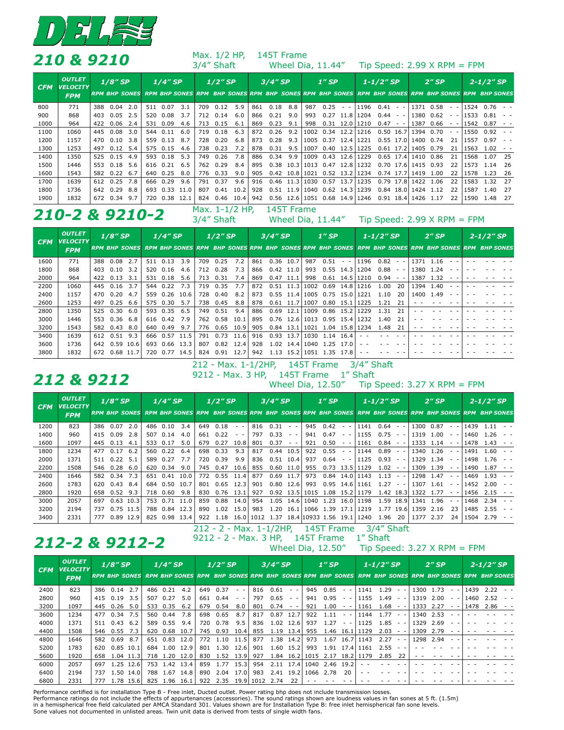

|            | 210 & 9210                                     |     |            |     |     |               |      |     | Max. 1/2 HP,<br>3/4" Shaft                                                                                                                                                                                                                                                                                                                 |      |     | 145T Frame |                                                                                         |      | Wheel Dia, 11.44"               |            |                                 |                |                |                       | Tip Speed: $2.99$ X RPM = FPM |                                                                     |      |                                                                                                                                   |      |
|------------|------------------------------------------------|-----|------------|-----|-----|---------------|------|-----|--------------------------------------------------------------------------------------------------------------------------------------------------------------------------------------------------------------------------------------------------------------------------------------------------------------------------------------------|------|-----|------------|-----------------------------------------------------------------------------------------|------|---------------------------------|------------|---------------------------------|----------------|----------------|-----------------------|-------------------------------|---------------------------------------------------------------------|------|-----------------------------------------------------------------------------------------------------------------------------------|------|
| <b>CFM</b> | <b>OUTLET</b><br><b>VELOCITY</b><br><b>FPM</b> |     | $1/8''$ SP |     |     | $1/4$ "SP     |      |     | $1/2$ "SP                                                                                                                                                                                                                                                                                                                                  |      |     | $3/4$ "SP  |                                                                                         |      | $1''$ SP                        |            |                                 | $1 - 1/2''$ SP |                |                       | $2''$ SP                      |                                                                     |      | $2 - 1/2''$ SP<br>RPM BHP SONES RPM BHP SONES RPM BHP SONES RPM BHP SONES RPM BHP SONES RPM BHP SONES RPM BHP SONES RPM BHP SONES |      |
| 800        | 771                                            | 388 | 0.04       | 2.0 |     | 511 0.07      | 3.1  | 709 | 0.12                                                                                                                                                                                                                                                                                                                                       | 5.9  | 861 | 0.18       | 8.8                                                                                     | 987  | 0.25                            | $\sim$ $-$ | 1196                            | $0.41 - -$     |                |                       | 1371 0.58                     | $\sim$ $ \sim$                                                      | 1524 | 0.76                                                                                                                              |      |
| 900        | 868                                            | 403 | 0.05       | 2.5 |     | 520 0.08      | 3.7  | 712 | 0.14                                                                                                                                                                                                                                                                                                                                       | 6.0  | 866 | $0.21$ 9.0 |                                                                                         | 993  |                                 |            | $0.27$ 11.8 1204                | $0.44 - -$     |                | 1380                  | 0.62                          | $\frac{1}{2} \left( \frac{1}{2} \right) \left( \frac{1}{2} \right)$ | 1533 | 0.81                                                                                                                              |      |
| 1000       | 964                                            | 422 | 0.06       | 2.4 |     | 531 0.09      | 4.6  | 713 | 0.15                                                                                                                                                                                                                                                                                                                                       | 6.1  | 869 | 0.23       | 9.1                                                                                     | 998  |                                 |            | $0.31$ 12.0 1210                | 0.47           | $\sim$ $ \sim$ | 1387                  | 0.66                          | $\frac{1}{2} \left( \frac{1}{2} \right) \left( \frac{1}{2} \right)$ | 1542 | 0.87                                                                                                                              |      |
| 1100       | 1060                                           | 445 | 0.08       | 3.0 |     | 544 0.11      | 6.0  | 719 | 0.18                                                                                                                                                                                                                                                                                                                                       | 6.3  | 872 |            | $0.26$ 9.2                                                                              | 1002 |                                 |            | $0.34$ 12.2 1216                | $0.50$ 16.7    |                |                       | 1394 0.70                     |                                                                     | 1550 | 0.92                                                                                                                              |      |
| 1200       | 1157                                           | 470 | 0.10       | 3.8 |     | 559 0.13      | 8.7  | 728 | 0.20                                                                                                                                                                                                                                                                                                                                       | 6.8  | 873 | 0.28       | 9.3                                                                                     |      | 1005 0.37 12.4 1221             |            |                                 | $0.55$ 17.0    |                |                       | 1400 0.74                     | 21                                                                  | 1557 | 0.97                                                                                                                              |      |
| 1300       | 1253                                           | 497 | 0.12       | 5.4 |     | 575 0.15      | 4.6  | 738 | 0.23                                                                                                                                                                                                                                                                                                                                       | 7.2  | 878 | 0.31       | 9.5                                                                                     | 1007 |                                 |            | 0.40 12.5 1225                  |                | $0.61$ 17.2    |                       | 1405 0.79                     | 21                                                                  | 1563 | 1.02                                                                                                                              |      |
| 1400       | 1350                                           | 525 | 0.15       | 4.9 |     | 593 0.18      | 5.3  | 749 | 0.26                                                                                                                                                                                                                                                                                                                                       | 7.8  | 886 | 0.34       | 9.9                                                                                     | 1009 | 0.43 12.6 1229                  |            |                                 |                | $0.65$ 17.4    |                       | 1410 0.86                     | 21                                                                  | 1568 | 1.07                                                                                                                              | 25   |
| 1500       | 1446                                           | 553 | 0.18       | 5.6 |     | 616 0.21      | 6.5  |     | 762 0.29                                                                                                                                                                                                                                                                                                                                   | 8.4  | 895 |            |                                                                                         |      | $0.38$ 10.3 1013 0.47 12.8 1232 |            |                                 |                |                | 0.70 17.6 1415 0.93   |                               | 22                                                                  | 1573 | 1.14                                                                                                                              | -26  |
| 1600       | 1543                                           | 582 | 0.22       | 6.7 |     | 640 0.25      | 8.0  |     | 776 0.33                                                                                                                                                                                                                                                                                                                                   | 9.0  | 905 |            |                                                                                         |      | $0.42$ 10.8 1021 0.52 13.2 1234 |            |                                 |                | $0.74$ 17.7    | 1419                  | 1.00                          | 22                                                                  | 1578 | 1.23                                                                                                                              | -26  |
| 1700       | 1639                                           | 612 | 0.25       | 7.8 |     | 666 0.29      | 9.6  | 791 | 0.37                                                                                                                                                                                                                                                                                                                                       | 9.6  | 916 |            |                                                                                         |      | 0.46 11.3 1030 0.57 13.7 1235   |            |                                 |                | $0.79$ 17.8    |                       | 1422 1.06                     | 22                                                                  | 1583 | 1.32                                                                                                                              | 27   |
| 1800       | 1736                                           | 642 | 0.29       | 8.8 | 693 | 0.33          | 11.0 | 807 | 0.41                                                                                                                                                                                                                                                                                                                                       | 10.2 | 928 |            | $0.51$ 11.9 1040                                                                        |      | 0.62 14.3 1239                  |            |                                 |                |                | $0.84$ 18.0 1424 1.12 |                               | 22                                                                  | 1587 | 1.40                                                                                                                              | 27   |
| 1900       | 1832                                           |     | 672 0.34   | 9.7 |     | 720 0.38 12.1 |      | 824 | 0.46<br>$\mathbf{A}$ $\mathbf{A}$ $\mathbf{A}$ $\mathbf{A}$ $\mathbf{A}$ $\mathbf{A}$ $\mathbf{A}$ $\mathbf{A}$ $\mathbf{A}$ $\mathbf{A}$ $\mathbf{A}$ $\mathbf{A}$ $\mathbf{A}$ $\mathbf{A}$ $\mathbf{A}$ $\mathbf{A}$ $\mathbf{A}$ $\mathbf{A}$ $\mathbf{A}$ $\mathbf{A}$ $\mathbf{A}$ $\mathbf{A}$ $\mathbf{A}$ $\mathbf{A}$ $\mathbf{$ | 10.4 | 942 |            | $\mathcal{A}$ , and the second contribution of the second contribution of $\mathcal{A}$ |      |                                 |            | $0.56$ 12.6 1051 0.68 14.9 1246 | $0.91$ 18.4    |                | 1426 1.17             |                               | 22                                                                  | 1590 | 1.48                                                                                                                              | - 27 |

# **210-2 & 9210-2** Max. 1-1/2 HP, 145T Frame

Wheel Dia,  $11.44''$  Tip Speed: 2.99 X RPM = FPM

| <b>CFM</b> | <b>OUTLET</b><br><b>VELOCITY</b> |     | $1/8$ "SP<br>RPM BHP SONES RPM BHP SONES RPM BHP SONES RPM BHP SONES RPM BHP SONES RPM BHP SONES RPM BHP SONES RPM BHP SONES |       |     | $1/4$ "SP |      |     | $1/2$ "SP |      |     | $3/4$ "SP |                               |      | $1''$ SP |             |                  | $1 - 1/2''$ SP |        |      | $2''$ SP  |  | $2 - 1/2''$ SP |  |
|------------|----------------------------------|-----|------------------------------------------------------------------------------------------------------------------------------|-------|-----|-----------|------|-----|-----------|------|-----|-----------|-------------------------------|------|----------|-------------|------------------|----------------|--------|------|-----------|--|----------------|--|
|            | <b>FPM</b>                       |     |                                                                                                                              |       |     |           |      |     |           |      |     |           |                               |      |          |             |                  |                |        |      |           |  |                |  |
| 1600       | 771                              | 388 | 0.08                                                                                                                         | 2.7   | 511 | 0.13      | 3.9  | 709 | 0.25      | 7.2  | 861 | 0.36      | 10.7                          | 987  | 0.51     | $\sim$ $ -$ | 1196             | 0.82           |        | 1371 | 1.16      |  |                |  |
| 1800       | 868                              | 403 | 0.10                                                                                                                         | 3.2   | 520 | 0.16      | 4.6  | 712 | 0.28      | 7.3  | 866 |           | 0.42 11.0                     | 993  |          |             | $0.55$ 14.3 1204 | 0.88           | $ -$   |      | 1380 1.24 |  |                |  |
| 2000       | 964                              | 422 | 0.13                                                                                                                         | 3.1   | 531 | 0.18      | 5.6  | 713 | 0.31      | 7.4  | 869 | 0.47      | 11.1                          | 998  |          | $0.61$ 14.5 | 1210             | 0.94           | $\sim$ | 1387 | 1.32      |  |                |  |
| 2200       | 1060                             | 445 | 0.16                                                                                                                         | 3.7   | 544 | 0.22      | 7.3  | 719 | 0.35      | 7.7  | 872 |           | $0.51$ 11.3                   | 1002 | 0.69     |             | 14.8   1216      | 1.00           | 20     | 1394 | 1.40      |  |                |  |
| 2400       | 1157                             | 470 | 0.20                                                                                                                         | 4.7   | 559 | 0.26      | 10.6 | 728 | 0.40      | 8.2  | 873 |           | 0.55 11.4 1005 0.75 15.0 1221 |      |          |             |                  | 1.10           | -20    |      | 1400 1.49 |  |                |  |
| 2600       | 1253                             | 497 | 0.25                                                                                                                         | 6.6   | 575 | 0.30      | 5.7  | 738 | 0.45      | 8.8  | 878 |           | $0.61$ 11.7                   | 1007 | 0.80     |             | 15.1   1225      | 1.21           | 21     |      |           |  |                |  |
| 2800       | 1350                             | 525 | 0.30                                                                                                                         | 6.0   | 593 | 0.35      | 6.5  | 749 | 0.51      | 9.4  | 886 | 0.69      | 12.1                          | 1009 | 0.86     | 15.2        | 1229             | 1.31           | 21     |      |           |  |                |  |
| 3000       | 1446                             | 553 | 0.36                                                                                                                         | 6.8   |     | 616 0.42  | 7.9  | 762 | 0.58      | 10.1 | 895 |           | 0.76 12.6 1013 0.95 15.4 1232 |      |          |             |                  | 1.40 21        |        |      |           |  |                |  |
| 3200       | 1543                             | 582 | 0.43                                                                                                                         | 8.0   |     | 640 0.49  | 9.7  | 776 | 0.65      | 10.9 | 905 | 0.84      | 13.1                          | 1021 | 1.04     |             | 15.8   1234      | 1.48           | 21     |      |           |  |                |  |
| 3400       | 1639                             | 612 | 0.51                                                                                                                         | 9.3   | 666 | 0.57      | 11.5 | 791 | 0.73      | 11.6 | 916 | 0.93      | 13.7                          | 1030 | 1.14     | 16.4        |                  |                |        |      |           |  |                |  |
| 3600       | 1736                             | 642 | 0.59                                                                                                                         | 10.61 | 693 | 0.66 13.3 |      | 807 | 0.82      | 12.4 | 928 |           | 1.02 14.4 1040                |      |          | 1.25 17.0   |                  |                |        |      |           |  |                |  |
| 3800       | 1832                             | 672 | $0.68$ 11.7                                                                                                                  |       | 720 | 0.77      | 14.5 | 824 | 0.91      | 12.7 | 942 | 1.13      | 15.2                          | 1051 | 1.35     | 17.8        |                  |                |        |      |           |  |                |  |

## **212 & 9212** 9212 - Max. 3 HP, 145T Frame 1" Shaft

212 - Max. 1-1/2HP, 145T Frame 3/4" Shaft

Wheel Dia, 12.50" Tip Speed: 3.27 X RPM = FPM

| <b>CFM</b> | <b>OUTLET</b><br><b>VELOCITY</b> |     | $1/8''$ SP<br>RPM BHP SONES RPM BHP SONES RPM BHP SONES RPM BHP SONES RPM BHP SONES RPM BHP SONES RPM BHP SONES RPM BHP SONES |      |     | $1/4$ "SP     |      |            | $1/2$ " SP |                |     | $3/4$ "SP                                              |                                                                                   |                                        | $1''$ SP |                |                  | $1 - 1/2''$ SP                            |                                          |      | $2''$ SP  |    |      | $2 - 1/2''$ SP |  |
|------------|----------------------------------|-----|-------------------------------------------------------------------------------------------------------------------------------|------|-----|---------------|------|------------|------------|----------------|-----|--------------------------------------------------------|-----------------------------------------------------------------------------------|----------------------------------------|----------|----------------|------------------|-------------------------------------------|------------------------------------------|------|-----------|----|------|----------------|--|
|            | <b>FPM</b>                       |     |                                                                                                                               |      |     |               |      |            |            |                |     |                                                        |                                                                                   |                                        |          |                |                  |                                           |                                          |      |           |    |      |                |  |
| 1200       | 823                              | 386 | 0.07                                                                                                                          | 2.0  | 486 | 0.10          | 3.4  | 649        | 0.18       | $\sim$ $ \sim$ | 816 | 0.31                                                   | $ -$                                                                              | 945                                    | 0.42     | $\sim$ $ \sim$ | 1141             | 0.64                                      |                                          | 1300 | 0.87      |    | 1439 | 1.11           |  |
| 1400       | 960                              | 415 | 0.09                                                                                                                          | 2.8  | 507 | 0.14          | 4.0  | 661        | 0.22       | $ -$           | 797 | 0.33                                                   | $\frac{1}{2} \left( \frac{1}{2} \right) = \frac{1}{2} \left( \frac{1}{2} \right)$ | 941                                    | 0.47     | $\sim$ $ \sim$ | 1155             | 0.75                                      | $ -$                                     | 1319 | 1.00      |    | 1460 | 1.26           |  |
| 1600       | 1097                             | 445 | 0.13                                                                                                                          | 4.1  | 533 | 0.17          | 5.0  | 679        | 0.27       | 10.8           | 801 | 0.37                                                   | $\frac{1}{2} \left( \frac{1}{2} \right) \left( \frac{1}{2} \right)$               | 921                                    | 0.50     | $\sim$         | 1161             | 0.84                                      |                                          | 1333 | 1.14      |    | 1478 | 1.43           |  |
| 1800       | 1234                             | 477 | 0.17                                                                                                                          | 6.2  | 560 | 0.22          | 6.4  | 698        | 0.33       | 9.3            | 817 | 0.44                                                   | 10.5                                                                              | 922                                    | 0.55     | $\sim$ $ \sim$ | 1144             | 0.89                                      |                                          | 1340 | 1.26      |    | 1491 | .60            |  |
| 2000       | 1371                             | 511 | 0.22                                                                                                                          | 5.1  | 589 | 0.27          | 7.7  | 720        | 0.39       | 9.9            | 836 | 0.51                                                   | 10.4                                                                              | 937                                    | 0.64     | $\sim$ $ \sim$ | 1125             | 0.93                                      | $\frac{1}{2} \left( \frac{1}{2} \right)$ | 1329 | 1.34      |    | 1498 | 1.76           |  |
| 2200       | 1508                             | 546 | 0.28                                                                                                                          | 6.0  | 620 | 0.34          | 9.0  | 745        | 0.47       | 10.6           | 855 | 0.60                                                   | 11.0                                                                              | 955                                    | 0.73     |                | 13.5   1129      | 1.02                                      | $ -$                                     | 1309 | 1.39      |    | 1490 | 1.87           |  |
| 2400       | 1646                             | 582 | 0.34                                                                                                                          | 7.3  | 651 | 0.41          | 10.0 | 772        | 0.55       | 11.4           | 877 | 0.69                                                   | 11.7                                                                              | 973                                    | 0.84     |                | 14.0   1143      | 1.13                                      |                                          | 1298 | 1.47      |    | 1469 | 1.93           |  |
| 2600       | 1783                             | 620 | 0.43                                                                                                                          | 8.4  | 684 | 0.50          | 10.7 | 801        | 0.65       | 12.3           | 901 | 0.80                                                   | 12.6                                                                              | 993                                    |          |                | $0.95$ 14.6 1161 | 1.27                                      | $ -$                                     | 1307 | 1.61      |    | 1452 | 2.00           |  |
| 2800       | 1920                             | 658 | 0.52                                                                                                                          | 9.3  |     | 718 0.60      | 9.8  | 830        | 0.76       | 13.1           | 927 | 0.92                                                   | 13.5                                                                              | 1015                                   |          |                | 1.08 15.2   1179 | 1.42                                      | 18.31                                    | 1322 | 1.77      |    |      | 1456 2.15      |  |
| 3000       | 2057                             | 697 | 0.63                                                                                                                          | 10.3 | 753 | 0.71          | 11.0 | 859        | 0.88       | 14.0           | 954 | 1.05                                                   | 14.6                                                                              | 1040                                   | 1.23     | 16.0           | 1198             | 1.59                                      | 18.9                                     | 1341 | 1.96      |    | 1468 | 2.34           |  |
| 3200       | 2194                             | 737 | 0.75 11.5                                                                                                                     |      |     | 788 0.84      | 12.3 | 890        | 1.02       | 15.0           | 983 | 1.20                                                   | 16.1                                                                              | l 1066                                 | 1.39     |                | 17.1   1219      | 1.77                                      | 19.6l                                    | 1359 | 2.16      | 23 | 1485 | 2.55           |  |
| 3400       | 2331                             | 777 | 0.89 12.9                                                                                                                     |      |     | 825 0.98 13.4 |      | 922<br>--- | 1.18       | - - -          |     | 16.0   1012 1.37<br>$\sim$ $\sim$ $\sim$ $\sim$ $\sim$ |                                                                                   | 18.4 10933 1.56 19.1   1240<br>------- |          |                |                  | 1.96<br>$\sim$ $\mu$ $\sim$ $\sim$ $\sim$ | 20                                       |      | 1377 2.37 | 24 | 1504 | 2.79           |  |

# 212-2 & 9212-2

212 - 2 - Max. 1-1/2HP, 145T Frame 3/4" Shaft

Wheel Dia, 12.50" Tip Speed: 3.27 X RPM = FPM

| <b>CFM</b> | <b>OUTLET</b><br><b>VELOCITY</b> | $1/8$ "SP<br>RPM BHP SONES RPM BHP SONES RPM BHP SONES RPM BHP SONES RPM BHP SONES RPM BHP SONES RPM BHP SONES RPM BHP SONES |             |           |     | $1/4$ "SP   |      |     | $1/2$ "SP |                         |     | $3/4$ "SP |                                                                     |                  | $1''$ SP |                |             | $1 - 1/2''$ SP |               |      | $2''$ SP  |      | $2 - 1/2''$ SP  |  |
|------------|----------------------------------|------------------------------------------------------------------------------------------------------------------------------|-------------|-----------|-----|-------------|------|-----|-----------|-------------------------|-----|-----------|---------------------------------------------------------------------|------------------|----------|----------------|-------------|----------------|---------------|------|-----------|------|-----------------|--|
|            | <b>FPM</b>                       |                                                                                                                              |             |           |     |             |      |     |           |                         |     |           |                                                                     |                  |          |                |             |                |               |      |           |      |                 |  |
| 2400       | 823                              | 386                                                                                                                          | 0.14        | 2.7       | 486 | 0.21        | 4.2  | 649 | 0.37      | $\sim$ $ \sim$          | 816 | 0.61      | $\frac{1}{2} \left( \frac{1}{2} \right) \left( \frac{1}{2} \right)$ | 945              | 0.85     | $\sim$ $ \sim$ | 1141        | 1.29           | $\sim$ $\sim$ | 1300 | 1.73      |      | $1439$ 2.22 - - |  |
| 2800       | 960                              | 415                                                                                                                          | 0.19        | 3.5       | 507 | 0.27        | 5.0  | 661 | 0.44      | $ -$                    | 797 | 0.65      | $\frac{1}{2} \left( \frac{1}{2} \right) \left( \frac{1}{2} \right)$ | 941              | 0.95     | $\sim$ $ \sim$ | 1155        | 1.49           | $ -$          | 1319 | 2.00      | 1460 | 2.52            |  |
| 3200       | 1097                             | 445                                                                                                                          | 0.26        | 5.0       | 533 | 0.35        | 6.2  | 679 | 0.54      | 8.0                     | 801 | 0.74      | $\frac{1}{2} \left( \frac{1}{2} \right) \left( \frac{1}{2} \right)$ | 921              | 1.00     | $ -$           | 1161        | 1.68           | $ -$          | 1333 | 2.27      | 1478 | 2.86            |  |
| 3600       | 1234                             | 477                                                                                                                          | 0.34        | 7.5       | 560 | 0.44        | 7.8  | 698 | 0.65      | 8.7                     | 817 | 0.87      | 12.7                                                                | 922              | 1.11     | $\sim$         | 1144        | 1.77           | $ -$          |      | 1340 2.53 |      |                 |  |
| 4000       | 1371                             | 511                                                                                                                          | 0.43        | 6.2       | 589 | 0.55        | 9.4  | 720 | 0.78      | 9.5                     | 836 |           | $1.02$ 12.6                                                         | 937              | 1.27     | $ -$           | 1125        | 1.85           | $ -$          | 1329 | 2.69      |      |                 |  |
| 4400       | 1508                             | 546                                                                                                                          | 0.55        | 7.3       | 620 | 0.68        | 10.7 | 745 | 0.93      | 10.4                    | 855 | 1.19      | 13.4                                                                | 955              | 1.46     | 16.1           | 1129        | 2.03           |               | 1309 | 2.79      |      |                 |  |
| 4800       | 1646                             | 582                                                                                                                          | 0.69        | 8.7       | 651 | 0.83        | 12.0 | 772 | 1.10      | 11.5                    | 877 | 1.38      | 14.2                                                                | 973              | 1.67     |                | 16.7   1143 | 2.27           | $ -$          | 1298 | 2.94      |      |                 |  |
| 5200       | 1783                             | 620                                                                                                                          | $0.85$ 10.1 |           | 684 | 1.00        | 12.9 | 801 | 1.30      | 12.6                    | 901 |           | $1.60$ 15.2                                                         | 993              | 1.91     |                | 17.4 1161   | 2.55           | - -           |      |           |      |                 |  |
| 5600       | 1920                             | 658                                                                                                                          |             | 1.04 11.3 | 718 | 1.20        | 12.0 | 830 | 1.52      | 13.9                    | 927 | 1.84      | 16.2                                                                | 1015             | 2.17     | 18.21          | 1179        | 2.85           | 22            |      |           |      |                 |  |
| 6000       | 2057                             | 697                                                                                                                          | 1.25        | 12.6      | 753 | 1.42        | 13.4 | 859 | 1.77      | 15.3                    | 954 | 2.11      |                                                                     | . 17.4 1040 2.46 |          | 19.2           |             |                |               |      |           |      |                 |  |
| 6400       | 2194                             | 737                                                                                                                          | 1.50        | 14.0      | 788 | 1.67        | 14.8 | 890 | 2.04      | 17.0                    | 983 | 2.41      | 19.2                                                                | 1066             | 2.78     | 20             |             |                |               |      |           |      |                 |  |
| 6800       | 2331                             | 777                                                                                                                          |             | 1.78 15.6 | 825 | $1.96$ 16.1 |      |     |           | 922 2.35 19.9 1012 2.74 |     |           | 22                                                                  |                  |          |                |             |                |               |      |           |      |                 |  |

in a hemispherical free field calculated per AMCA Standard 301. Values shown are for Installation Type B: free inlet hemispherical fan sone levels.<br>Sone values not documented in unlisted areas. Twin unit data is derived fr Performance certified is for installation Type B - Free inlet, Ducted outlet. Power rating bhp does not include transmission losses.<br>Performance ratings do not include the effects of appurtenances (accessories). The sound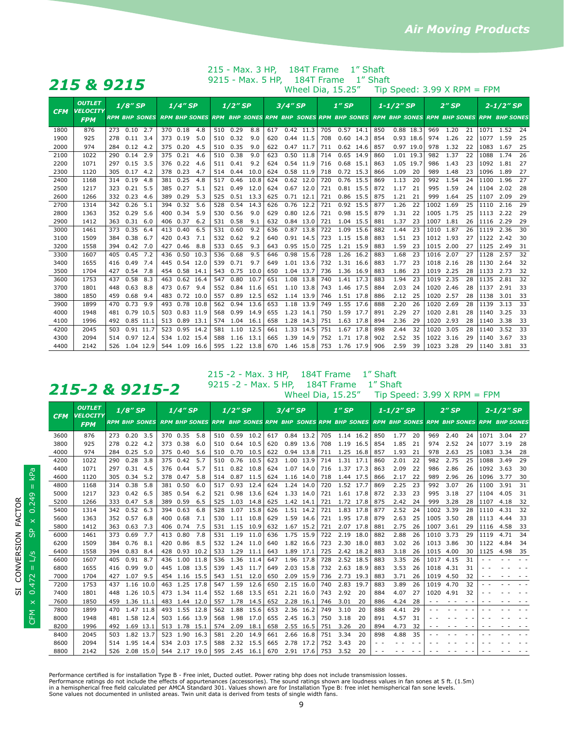| 7<br><b>CONTRACTOR</b><br>$\blacksquare$<br>--<br>- | <b>121</b><br>$\sim$ $\sim$<br>$\sim$ |
|-----------------------------------------------------|---------------------------------------|
|-----------------------------------------------------|---------------------------------------|

*215 & 9215* 9215 - Max. 5 HP, 184T Frame 1" Shaft 215 - Max. 3 HP, 184T Frame 1" Shaft

Wheel Dia,  $15.25''$  Tip Speed: 3.99 X RPM = FPM

| <b>CFM</b> | <b>OUTLET</b><br><b>VELOCITY</b> | $1/8$ " SP<br><b>RPM BHP SONES</b> |           |      | $1/4$ "SP |          |                      | $1/2$ " SP |      |      | 3/4" SP |             |      | $1''$ SP |           |             | $1 - 1/2''$ SP |           |           | $2''$ SP |      |    | $2 - 1/2''$ SP |                                                                                     |     |
|------------|----------------------------------|------------------------------------|-----------|------|-----------|----------|----------------------|------------|------|------|---------|-------------|------|----------|-----------|-------------|----------------|-----------|-----------|----------|------|----|----------------|-------------------------------------------------------------------------------------|-----|
|            | <b>FPM</b>                       |                                    |           |      |           |          | <b>RPM BHP SONES</b> |            |      |      |         |             |      |          |           |             |                |           |           |          |      |    |                | RPM BHP SONES RPM BHP SONES RPM BHP SONES RPM BHP SONES RPM BHP SONES RPM BHP SONES |     |
| 1800       | 876                              | 273                                | 0.10      | 2.7  |           | 370 0.18 | 4.8                  | 510        | 0.29 | 8.8  | 617     | $0.42$ 11.3 |      | 705      |           | $0.57$ 14.1 | 850            | 0.88 18.3 |           | 969      | 1.20 | 21 | 1071           | 1.52                                                                                | -24 |
| 1900       | 925                              | 278                                | 0.11      | 3.4  | 373       | 0.19     | 5.0                  | 510        | 0.32 | 9.0  | 620     | 0.44 11.5   |      | 708      | 0.60      | 14.3        | 854            |           | 0.93 18.6 | 974      | 1.26 | 22 | 1077           | 1.59                                                                                | 25  |
| 2000       | 974                              | 284                                | 0.12      | 4.2  | 375       | 0.20     | 4.5                  | 510        | 0.35 | 9.0  | 622     | 0.47        | 11.7 | 711      | 0.62      | 14.6        | 857            | 0.97 19.0 |           | 978      | 1.32 | 22 | 1083           | 1.67                                                                                | 25  |
| 2100       | 1022                             | 290                                | 0.14      | 2.9  | 375       | 0.21     | 4.6                  | 510        | 0.38 | 9.0  | 623     | 0.50        | 11.8 | 714      | 0.65      | 14.9        | 860            | 1.01      | 19.3      | 982      | 1.37 | 22 | 1088           | 1.74                                                                                | 26  |
| 2200       | 1071                             | 297                                | 0.15      | 3.5  | 376       | 0.22     | 4.6                  | 511        | 0.41 | 9.2  | 624     | 0.54        | 11.9 | 716      | 0.68      | 15.1        | 863            | 1.05      | 19.7      | 986      | 1.43 | 23 | 1092           | 1.81                                                                                | 27  |
| 2300       | 1120                             | 305                                | 0.17      | 4.2  | 378       | 0.23     | 4.7                  | 514        | 0.44 | 10.0 | 624     | 0.58        | 11.9 | 718      | 0.72      | 15.3        | 866            | 1.09      | 20        | 989      | 1.48 | 23 | 1096           | 1.89                                                                                | 27  |
| 2400       | 1168                             | 314                                | 0.19      | 4.8  | 381       | 0.25     | 4.8                  | 517        | 0.46 | 10.8 | 624     | $0.62$ 12.0 |      | 720      | 0.76      | 15.5        | 869            | 1.13      | 20        | 992      | 1.54 | 24 | 1100           | 1.96                                                                                | 27  |
| 2500       | 1217                             | 323                                | 0.21      | 5.5  | 385       | 0.27     | 5.1                  | 521        | 0.49 | 12.0 | 624     | 0.67        | 12.0 | 721      | 0.81      | 15.5        | 872            | 1.17      | 21        | 995      | 1.59 | 24 | 1104           | 2.02                                                                                | 28  |
| 2600       | 1266                             | 332                                | 0.23      | 4.6  | 389       | 0.29     | 5.3                  | 525        | 0.51 | 13.3 | 625     | 0.71        | 12.1 | 721      | 0.86      | 15.5        | 875            | 1.21      | 21        | 999      | 1.64 | 25 | 1107           | 2.09                                                                                | 29  |
| 2700       | 1314                             | 342                                | 0.26      | 5.1  | 394       | 0.32     | 5.6                  | 528        | 0.54 | 14.3 | 626     | 0.76        | 12.2 | 721      | 0.92      | 15.5        | 877            | 1.26      | 22        | 1002     | 1.69 | 25 | 1110           | 2.16                                                                                | 29  |
| 2800       | 1363                             | 352                                | 0.29      | 5.6  | 400       | 0.34     | 5.9                  | 530        | 0.56 | 9.0  | 629     | 0.80        | 12.6 | 721      | 0.98      | 15.5        | 879            | 1.31      | 22        | 1005     | 1.75 | 25 | 1113           | 2.22                                                                                | 29  |
| 2900       | 1412                             | 363                                | 0.31      | 6.0  | 406       | 0.37     | 6.2                  | 531        | 0.58 | 9.1  | 632     | 0.84 13.0   |      | 721      | 1.04 15.5 |             | 881            | 1.37      | 23        | 1007     | 1.81 | 26 | 1116           | 2.29                                                                                | 29  |
| 3000       | 1461                             | 373                                | 0.35      | 6.4  | 413       | 0.40     | 6.5                  | 531        | 0.60 | 9.2  | 636     | 0.87        | 13.8 | 722      | 1.09      | 15.6        | 882            | 1.44      | 23        | 1010     | 1.87 | 26 | 1119           | 2.36                                                                                | 30  |
| 3100       | 1509                             | 384                                | 0.38      | 6.7  | 420       | 0.43     | 7.1                  | 532        | 0.62 | 9.2  | 640     | 0.91        | 14.5 | 723      | 1.15      | 15.8        | 883            | 1.51      | 23        | 1012     | 1.93 | 27 | 1122           | 2.42                                                                                | 30  |
| 3200       | 1558                             | 394                                | 0.42      | 7.0  | 427       | 0.46     | 8.8                  | 533        | 0.65 | 9.3  | 643     | 0.95        | 15.0 | 725      | 1.21      | 15.9        | 883            | 1.59      | 23        | 1015     | 2.00 | 27 | 1125           | 2.49                                                                                | 31  |
| 3300       | 1607                             | 405                                | 0.45      | 7.2  | 436       | 0.50     | 10.3                 | 536        | 0.68 | 9.5  | 646     | 0.98        | 15.6 | 728      | 1.26      | 16.2        | 883            | 1.68      | 23        | 1016     | 2.07 | 27 | 1128           | 2.57                                                                                | 32  |
| 3400       | 1655                             | 416                                | 0.49      | 7.4  | 445       | 0.54     | 12.0                 | 539        | 0.71 | 9.7  | 649     | 1.01        | 13.6 | 732      | 1.31      | 16.6        | 883            | 1.77      | 23        | 1018     | 2.16 | 28 | 1130           | 2.64                                                                                | 32  |
| 3500       | 1704                             | 427                                | 0.54      | 7.8  | 454       | 0.58     | 14.1                 | 543        | 0.75 | 10.0 | 650     | 1.04        | 13.7 | 736      | 1.36      | 16.9        | 883            | 1.86      | 23        | 1019     | 2.25 | 28 | 1133           | 2.73                                                                                | 32  |
| 3600       | 1753                             | 437                                | 0.58      | 8.3  | 463       | 0.62     | 16.4                 | 547        | 0.80 | 10.7 | 651     | 1.08        | 13.8 | 740      | 1.41      | 17.3        | 883            | 1.94      | 23        | 1019     | 2.35 | 28 | 1135           | 2.81                                                                                | 32  |
| 3700       | 1801                             | 448                                | 0.63      | 8.8  | 473       | 0.67     | 9.4                  | 552        | 0.84 | 11.6 | 651     | 1.10        | 13.8 | 743      | 1.46      | 17.5        | 884            | 2.03      | 24        | 1020     | 2.46 | 28 | 1137           | 2.91                                                                                | 33  |
| 3800       | 1850                             | 459                                | 0.68      | 9.4  | 483       | 0.72     | 10.0                 | 557        | 0.89 | 12.5 | 652     | 1.14        | 13.9 | 746      | 1.51      | 17.8        | 886            | 2.12      | 25        | 1020     | 2.57 | 28 | 1138           | 3.01                                                                                | 33  |
| 3900       | 1899                             | 470                                | 0.73      | 9.9  | 493       | 0.78     | 10.8                 | 562        | 0.94 | 13.6 | 653     | 1.18        | 13.9 | 749      | 1.55      | 17.6        | 888            | 2.20      | 26        | 1020     | 2.69 | 28 | 1139           | 3.13                                                                                | 33  |
| 4000       | 1948                             | 481                                | 0.79      | 10.5 | 503       | 0.83     | 11.9                 | 568        | 0.99 | 14.9 | 655     | 1.23        | 14.1 | 750      | 1.59      | 17.7        | 891            | 2.29      | 27        | 1020     | 2.81 | 28 | 1140           | 3.25                                                                                | 33  |
| 4100       | 1996                             | 492                                | 0.85      | 11.1 | 513       | 0.89     | 13.1                 | 574        | 1.04 | 16.1 | 658     | 1.28        | 14.3 | 751      | 1.63 17.8 |             | 894            | 2.36      | 29        | 1020     | 2.93 | 28 | 1140           | 3.38                                                                                | 33  |
| 4200       | 2045                             | 503                                | 0.91      | 11.7 | 523       | 0.95     | 14.2                 | 581        | 1.10 | 12.5 | 661     | 1.33        | 14.5 | 751      | 1.67      | 17.8        | 898            | 2.44      | 32        | 1020     | 3.05 | 28 | 1140           | 3.52                                                                                | 33  |
| 4300       | 2094                             | 514                                | 0.97      | 12.4 | 534       | 1.02     | 15.4                 | 588        | 1.16 | 13.1 | 665     | 1.39        | 14.9 | 752      | 1.71      | 17.8        | 902            | 2.52      | 35        | 1022     | 3.16 | 29 | 1140           | 3.67                                                                                | 33  |
| 4400       | 2142                             | 526                                | 1.04 12.9 |      |           | 544 1.09 | 16.6                 | 595        | 1.22 | 13.8 | 670     | 1.46        | 15.8 | 753      | 1.76      | 17.9        | 906            | 2.59      | 39        | 1023     | 3.28 | 29 | 1140           | 3.81                                                                                | 33  |

## **215-2 & 9215-2** 9215-2 - Max. 5 HP, 184T Frame 1" Shaft 215 -2 - Max. 3 HP, 184T Frame 1" Shaft

| Wheel Dia, 15.25"<br>Tip Speed: $3.99$ X RPM = FPM |  |  |  |  |
|----------------------------------------------------|--|--|--|--|
|----------------------------------------------------|--|--|--|--|

| <b>CFM</b> | <b>OUTLET</b><br><b>VELOCITY</b> | 1/8" SP |                      |           |     | $1/4$ "SP |                      |     | $1/2$ " SP |      |     | $3/4$ " SP |           |     | $1''$ SP                                         |           |     | $1 - 1/2''$ SP                     |    |                                                                                                                                                                                                                                                                                                                                                                                                                                                | $2''$ SP |    |      | $2 - 1/2''$ SP       |     |
|------------|----------------------------------|---------|----------------------|-----------|-----|-----------|----------------------|-----|------------|------|-----|------------|-----------|-----|--------------------------------------------------|-----------|-----|------------------------------------|----|------------------------------------------------------------------------------------------------------------------------------------------------------------------------------------------------------------------------------------------------------------------------------------------------------------------------------------------------------------------------------------------------------------------------------------------------|----------|----|------|----------------------|-----|
|            | <b>FPM</b>                       |         | <b>RPM BHP SONES</b> |           |     |           | <b>RPM BHP SONES</b> |     |            |      |     |            |           |     | <b>RPM BHP SONES RPM BHP SONES RPM BHP SONES</b> |           |     | <b>RPM BHP SONES RPM BHP SONES</b> |    |                                                                                                                                                                                                                                                                                                                                                                                                                                                |          |    |      | <b>RPM BHP SONES</b> |     |
| 3600       | 876                              | 273     | 0.20                 | 3.5       |     | 370 0.35  | 5.8                  | 510 | 0.59       | 10.2 | 617 |            | 0.84 13.2 | 705 |                                                  | 1.14 16.2 | 850 | 1.77                               | 20 | 969                                                                                                                                                                                                                                                                                                                                                                                                                                            | 2.40     | 24 | 1071 | 3.04                 | -27 |
| 3800       | 925                              | 278     | 0.22                 | 4.2       | 373 | 0.38      | 6.0                  | 510 | 0.64       | 10.5 | 620 | 0.89       | 13.6      | 708 | 1.19                                             | 16.5      | 854 | 1.85                               | 21 | 974                                                                                                                                                                                                                                                                                                                                                                                                                                            | 2.52     | 24 | 1077 | 3.19                 | 28  |
| 4000       | 974                              | 284     | 0.25                 | 5.0       | 375 | 0.40      | 5.6                  | 510 | 0.70       | 10.5 | 622 | 0.94       | 13.8      | 711 |                                                  | 1.25 16.8 | 857 | 1.93                               | 21 | 978                                                                                                                                                                                                                                                                                                                                                                                                                                            | 2.63     | 25 | 1083 | 3.34                 | 28  |
| 4200       | 1022                             | 290     | 0.28                 | 3.8       | 375 | 0.42      | 5.7                  | 510 | 0.76       | 10.5 | 623 | 1.00       | 13.9      | 714 | 1.31                                             | 17.1      | 860 | 2.01                               | 22 | 982                                                                                                                                                                                                                                                                                                                                                                                                                                            | 2.75     | 25 | 1088 | 3.49                 | 29  |
| 4400       | 1071                             | 297     | 0.31                 | 4.5       | 376 | 0.44      | 5.7                  | 511 | 0.82       | 10.8 | 624 | 1.07       | 14.0      | 716 | 1.37                                             | 17.3      | 863 | 2.09                               | 22 | 986                                                                                                                                                                                                                                                                                                                                                                                                                                            | 2.86     | 26 | 1092 | 3.63                 | 30  |
| 4600       | 1120                             | 305     | 0.34                 | 5.2       | 378 | 0.47      | 5.8                  | 514 | 0.87       | 11.5 | 624 | 1.16       | 14.0      | 718 | 1.44                                             | 17.5      | 866 | 2.17                               | 22 | 989                                                                                                                                                                                                                                                                                                                                                                                                                                            | 2.96     | 26 | 1096 | 3.77                 | 30  |
| 4800       | 1168                             | 314     | 0.38                 | 5.8       | 381 | 0.50      | 6.0                  | 517 | 0.93       | 12.4 | 624 | 1.24       | 14.0      | 720 |                                                  | 1.52 17.7 | 869 | 2.25                               | 23 | 992                                                                                                                                                                                                                                                                                                                                                                                                                                            | 3.07     | 26 | 1100 | 3.91                 | 31  |
| 5000       | 1217                             | 323     | 0.42                 | 6.5       | 385 | 0.54      | 6.2                  | 521 | 0.98       | 13.6 | 624 | 1.33       | 14.0      | 721 | 1.61                                             | 17.8      | 872 | 2.33                               | 23 | 995                                                                                                                                                                                                                                                                                                                                                                                                                                            | 3.18     | 27 | 1104 | 4.05                 | 31  |
| 5200       | 1266                             | 333     | 0.47                 | 5.8       | 389 | 0.59      | 6.5                  | 525 | 1.03       | 14.8 | 625 | 1.42       | 14.1      | 721 | 1.72                                             | 17.8      | 875 | 2.42                               | 24 | 999                                                                                                                                                                                                                                                                                                                                                                                                                                            | 3.28     | 28 | 1107 | 4.18                 | 32  |
| 5400       | 1314                             | 342     | 0.52                 | 6.3       | 394 | 0.63      | 6.8                  | 528 | 1.07       | 15.8 | 626 | 1.51       | 14.2      | 721 | 1.83                                             | 17.8      | 877 | 2.52                               | 24 | 1002                                                                                                                                                                                                                                                                                                                                                                                                                                           | 3.39     | 28 | 1110 | 4.31                 | 32  |
| 5600       | 1363                             | 352     | 0.57                 | 6.8       | 400 | 0.68      | 7.1                  | 530 | 1.11       | 10.8 | 629 | 1.59       | 14.6      | 721 | 1.95                                             | 17.8      | 879 | 2.63                               | 25 | 1005                                                                                                                                                                                                                                                                                                                                                                                                                                           | 3.50     | 28 | 1113 | 4.44                 | 33  |
| 5800       | 1412                             | 363     | 0.63                 | 7.3       |     | 406 0.74  | 7.5                  | 531 | 1.15       | 10.9 | 632 | 1.67       | 15.2      | 721 |                                                  | 2.07 17.8 | 881 | 2.75                               | 26 | 1007                                                                                                                                                                                                                                                                                                                                                                                                                                           | 3.61     | 29 | 1116 | 4.58                 | 33  |
| 6000       | 1461                             | 373     | 0.69                 | 7.7       | 413 | 0.80      | 7.8                  | 531 | 1.19       | 11.0 | 636 | 1.75       | 15.9      | 722 | 2.19                                             | 18.0      | 882 | 2.88                               | 26 | 1010                                                                                                                                                                                                                                                                                                                                                                                                                                           | 3.73     | 29 | 1119 | 4.71                 | 34  |
| 6200       | 1509                             | 384     | 0.76                 | 8.1       | 420 | 0.86      | 8.5                  | 532 | 1.24       | 11.0 | 640 | 1.82       | 16.6      | 723 |                                                  | 2.30 18.0 | 883 | 3.02                               | 26 | 1013                                                                                                                                                                                                                                                                                                                                                                                                                                           | 3.86     | 30 | 1122 | 4.84                 | 34  |
| 6400       | 1558                             | 394     | 0.83                 | 8.4       | 428 | 0.93      | 10.2                 | 533 | 1.29       | 11.1 | 643 | 1.89       | 17.1      | 725 |                                                  | 2.42 18.2 | 883 | 3.18                               | 26 | 1015                                                                                                                                                                                                                                                                                                                                                                                                                                           | 4.00     | 30 | 1125 | 4.98                 | 35  |
| 6600       | 1607                             | 405     | 0.91                 | 8.7       | 436 | 1.00      | 11.8                 | 536 | 1.36       | 11.4 | 647 | 1.96       | 17.8      | 728 | 2.52                                             | 18.5      | 883 | 3.35                               | 26 | 1017                                                                                                                                                                                                                                                                                                                                                                                                                                           | 4.15     | 31 |      |                      |     |
| 6800       | 1655                             | 416     | 0.99                 | 9.0       | 445 | 1.08      | 13.5                 | 539 | 1.43       | 11.7 | 649 | 2.03       | 15.8      | 732 | 2.63                                             | 18.9      | 883 | 3.53                               | 26 | 1018                                                                                                                                                                                                                                                                                                                                                                                                                                           | 4.31     | 31 |      |                      |     |
| 7000       | 1704                             | 427     | 1.07                 | 9.5       | 454 | 1.16      | 15.5                 | 543 | 1.51       | 12.0 | 650 | 2.09       | 15.9      | 736 | 2.73                                             | 19.3      | 883 | 3.71                               | 26 | 1019                                                                                                                                                                                                                                                                                                                                                                                                                                           | 4.50     | 32 |      |                      |     |
| 7200       | 1753                             | 437     | 1.16                 | 10.0      | 463 | 1.25      | 17.8                 | 547 | 1.59       | 12.6 | 650 | 2.15       | 16.0      | 740 | 2.83                                             | 19.7      | 883 | 3.89                               | 26 | 1019                                                                                                                                                                                                                                                                                                                                                                                                                                           | 4.70     | 32 |      |                      |     |
| 7400       | 1801                             | 448     |                      | 1.26 10.5 | 473 | 1.34      | 11.4                 | 552 | 1.68       | 13.5 | 651 | 2.21       | 16.0      | 743 | 2.92                                             | -20       | 884 | 4.07                               | 27 | 1020                                                                                                                                                                                                                                                                                                                                                                                                                                           | 4.91     | 32 |      |                      |     |
| 7600       | 1850                             | 459     | 1.36 11.1            |           | 483 | 1.44      | 12.0                 | 557 | 1.78       | 14.5 | 652 | 2.28       | 16.1      | 746 | 3.01                                             | 20        | 886 | 4.24                               | 28 | $\frac{1}{2} \left( \frac{1}{2} \right) = \frac{1}{2} \left( \frac{1}{2} \right) = \frac{1}{2} \left( \frac{1}{2} \right) = \frac{1}{2} \left( \frac{1}{2} \right) = \frac{1}{2} \left( \frac{1}{2} \right) = \frac{1}{2} \left( \frac{1}{2} \right) = \frac{1}{2} \left( \frac{1}{2} \right) = \frac{1}{2} \left( \frac{1}{2} \right) = \frac{1}{2} \left( \frac{1}{2} \right) = \frac{1}{2} \left( \frac{1}{2} \right) = \frac{1}{2} \left($ |          |    |      |                      |     |
| 7800       | 1899                             | 470     | 1.47                 | 11.8      | 493 | 1.55      | 12.8                 | 562 | 1.88       | 15.6 | 653 | 2.36       | 16.2      | 749 | 3.10                                             | 20        | 888 | 4.41                               | 29 |                                                                                                                                                                                                                                                                                                                                                                                                                                                |          |    |      |                      |     |
| 8000       | 1948                             | 481     | 1.58                 | 12.4      | 503 | 1.66      | 13.9                 | 568 | 1.98       | 17.0 | 655 | 2.45       | 16.3      | 750 | 3.18                                             | 20        | 891 | 4.57                               | 31 |                                                                                                                                                                                                                                                                                                                                                                                                                                                |          |    |      |                      |     |
| 8200       | 1996                             | 492     | 1.69                 | 13.1      | 513 | 1.78      | 15.1                 | 574 | 2.09       | 18.1 | 658 | 2.55       | 16.5      | 751 | 3.26                                             | 20        | 894 | 4.73                               | 32 |                                                                                                                                                                                                                                                                                                                                                                                                                                                |          | ۰  |      |                      |     |
| 8400       | 2045                             | 503     | 1.82                 | 13.7      | 523 | 1.90      | 16.3                 | 581 | 2.20       | 14.9 | 661 | 2.66       | 16.8      | 751 | 3.34                                             | 20        | 898 | 4.88                               | 35 |                                                                                                                                                                                                                                                                                                                                                                                                                                                |          |    |      |                      |     |
| 8600       | 2094                             | 514     |                      | 1.95 14.4 | 534 | 2.03      | 17.5                 | 588 | 2.32       | 15.5 | 665 | 2.78       | 17.2      | 752 | 3.43                                             | 20        |     |                                    |    |                                                                                                                                                                                                                                                                                                                                                                                                                                                |          |    |      |                      |     |
| 8800       | 2142                             | 526     |                      | 2.08 15.0 | 544 | 2.17      | 19.0                 | 595 | 2.45       | 16.1 | 670 |            | 2.91 17.6 | 753 | 3.52                                             | 20        |     |                                    |    |                                                                                                                                                                                                                                                                                                                                                                                                                                                |          |    |      |                      |     |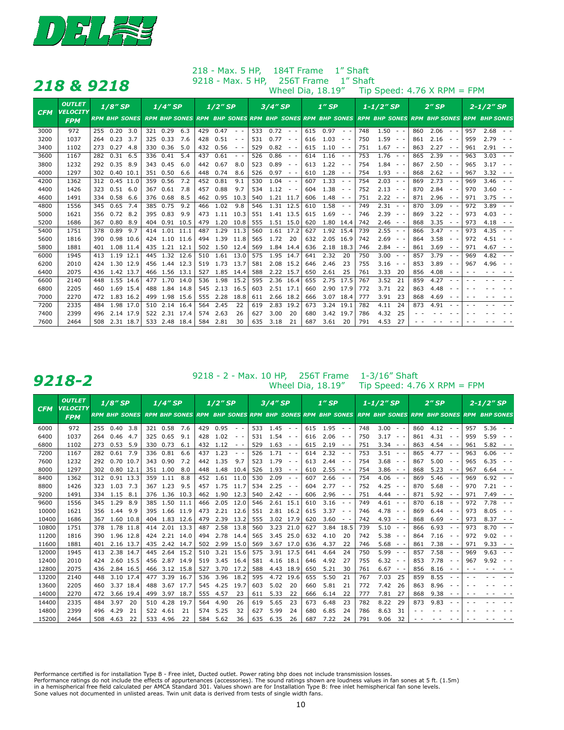

|            |                                  | 218 & 9218           |                                                                                                   | 9218 - Max. 5 HP,                                                                                |     |                   |                                                                     | 256T Frame |           |                                                                                   | 1" Shaft |                                                                                                                                                                                                                                                                                                                                                                                                                                                        |          |                                                                                           |                          |                                                                                                                                                                                                                                                                                                                                                                                                                                                        |
|------------|----------------------------------|----------------------|---------------------------------------------------------------------------------------------------|--------------------------------------------------------------------------------------------------|-----|-------------------|---------------------------------------------------------------------|------------|-----------|-----------------------------------------------------------------------------------|----------|--------------------------------------------------------------------------------------------------------------------------------------------------------------------------------------------------------------------------------------------------------------------------------------------------------------------------------------------------------------------------------------------------------------------------------------------------------|----------|-------------------------------------------------------------------------------------------|--------------------------|--------------------------------------------------------------------------------------------------------------------------------------------------------------------------------------------------------------------------------------------------------------------------------------------------------------------------------------------------------------------------------------------------------------------------------------------------------|
|            |                                  |                      |                                                                                                   |                                                                                                  |     | Wheel Dia, 18.19" |                                                                     |            |           |                                                                                   |          |                                                                                                                                                                                                                                                                                                                                                                                                                                                        |          | Tip Speed: $4.76$ X RPM = FPM                                                             |                          |                                                                                                                                                                                                                                                                                                                                                                                                                                                        |
| <b>CFM</b> | <b>OUTLET</b><br><b>VELOCITY</b> | $1/8''$ SP           | $1/4$ " SP                                                                                        | $1/2$ " SP                                                                                       |     | $3/4''$ SP        |                                                                     | $1''$ SP   |           | $1 - 1/2$ "SP                                                                     |          |                                                                                                                                                                                                                                                                                                                                                                                                                                                        | $2''$ SP | $2 - 1/2''$ SP                                                                            |                          |                                                                                                                                                                                                                                                                                                                                                                                                                                                        |
|            | <b>FPM</b>                       | <b>RPM BHP SONES</b> | RPM BHP SONES RPM BHP SONES RPM BHP SONES RPM BHP SONES RPM BHP SONES RPM BHP SONES RPM BHP SONES |                                                                                                  |     |                   |                                                                     |            |           |                                                                                   |          |                                                                                                                                                                                                                                                                                                                                                                                                                                                        |          |                                                                                           |                          |                                                                                                                                                                                                                                                                                                                                                                                                                                                        |
| 3000       | 972                              | 0.20<br>3.0<br>255   | 321 0.29<br>6.3                                                                                   | 0.47<br>429<br>$\sim$ $-$                                                                        | 533 | 0.72              | $\sim$ $-$                                                          | 615        | 0.97      | $\sim$ $ \sim$                                                                    | 748      | $1.50 - -$                                                                                                                                                                                                                                                                                                                                                                                                                                             | 860      | 2.06<br>$\qquad \qquad -$                                                                 | 957                      | 2.68<br>$\sim$ $\sim$                                                                                                                                                                                                                                                                                                                                                                                                                                  |
| 3200       | 1037                             | 0.23<br>3.7<br>264   | 0.33<br>7.6<br>325                                                                                | 0.51<br>428<br>$\qquad \qquad -$                                                                 | 531 | 0.77              | $\qquad \qquad -$                                                   | 616        | 1.03      | $\frac{1}{2} \left( \frac{1}{2} \right) = \frac{1}{2} \left( \frac{1}{2} \right)$ | 750      | 1.59<br>$\sim$ $-$                                                                                                                                                                                                                                                                                                                                                                                                                                     | 861      | 2.16<br>$\qquad \qquad -$                                                                 | 959                      | 2.79<br>$ -$                                                                                                                                                                                                                                                                                                                                                                                                                                           |
| 3400       | 1102                             | 0.27<br>4.8<br>273   | 330 0.36<br>5.0                                                                                   | 0.56<br>432<br>$\frac{1}{2} \left( \frac{1}{2} \right) = \frac{1}{2} \left( \frac{1}{2} \right)$ | 529 | 0.82              | $\qquad \qquad -$                                                   | 615        | 1.10      | $\sim$ $ \sim$                                                                    | 751      | $1.67 -$                                                                                                                                                                                                                                                                                                                                                                                                                                               | 863      | 2.27<br>$\frac{1}{2} \left( \frac{1}{2} \right) = \frac{1}{2} \left( \frac{1}{2} \right)$ | 961                      | 2.91<br>$ -$                                                                                                                                                                                                                                                                                                                                                                                                                                           |
| 3600       | 1167                             | 0.31<br>6.5<br>282   | 336 0.41<br>5.4                                                                                   | 0.61<br>437<br>$\sim$ $ \sim$                                                                    | 526 | 0.86              | $\frac{1}{2} \left( \frac{1}{2} \right) \left( \frac{1}{2} \right)$ | 614        | 1.16      | $\frac{1}{2} \left( \frac{1}{2} \right) = \frac{1}{2} \left( \frac{1}{2} \right)$ | 753      | $1.76 -$                                                                                                                                                                                                                                                                                                                                                                                                                                               | 865      | 2.39                                                                                      | 963                      | 3.03<br>$\sim$ $\sim$                                                                                                                                                                                                                                                                                                                                                                                                                                  |
| 3800       | 1232                             | 0.35<br>8.9<br>292   | 343 0.45<br>6.0                                                                                   | 0.67<br>442<br>8.0                                                                               | 523 | 0.89              | $\frac{1}{2} \left( \frac{1}{2} \right) \left( \frac{1}{2} \right)$ | 613        | 1.22      | $\frac{1}{2} \left( \frac{1}{2} \right) = \frac{1}{2} \left( \frac{1}{2} \right)$ | 754      | 1.84<br>$\frac{1}{2} \left( \frac{1}{2} \right) + \frac{1}{2} \left( \frac{1}{2} \right) + \frac{1}{2} \left( \frac{1}{2} \right) + \frac{1}{2} \left( \frac{1}{2} \right) + \frac{1}{2} \left( \frac{1}{2} \right) + \frac{1}{2} \left( \frac{1}{2} \right) + \frac{1}{2} \left( \frac{1}{2} \right) + \frac{1}{2} \left( \frac{1}{2} \right) + \frac{1}{2} \left( \frac{1}{2} \right) + \frac{1}{2} \left( \frac{1}{2} \right) + \frac{1}{2} \left($ | 867      | 2.50<br>$\sim$                                                                            | 965                      | 3.17<br>$ -$                                                                                                                                                                                                                                                                                                                                                                                                                                           |
| 4000       | 1297                             | $0.40$ 10.1<br>302   | 351 0.50<br>6.6                                                                                   | 0.74<br>448<br>8.6                                                                               | 526 | 0.97              | $\qquad \qquad -$                                                   | 610        | 1.28      | $\frac{1}{2} \left( \frac{1}{2} \right) = \frac{1}{2} \left( \frac{1}{2} \right)$ | 754      | $1.93 - -$                                                                                                                                                                                                                                                                                                                                                                                                                                             | 868      | 2.62<br>$\frac{1}{2} \left( \frac{1}{2} \right) \left( \frac{1}{2} \right)$               | 967                      | 3.32<br>$ -$                                                                                                                                                                                                                                                                                                                                                                                                                                           |
| 4200       | 1362                             | $0.45$ 11.0<br>312   | 0.56<br>7.2<br>359                                                                                | 0.81<br>9.1<br>452                                                                               | 530 | 1.04              | $\sim$ $-$                                                          | 607        | 1.33      | $\frac{1}{2} \left( \frac{1}{2} \right) \frac{1}{2} \left( \frac{1}{2} \right)$   | 754      | $2.03 - -$                                                                                                                                                                                                                                                                                                                                                                                                                                             | 869      | 2.73<br>$\frac{1}{2} \left( \frac{1}{2} \right) \left( \frac{1}{2} \right)$               | 969                      | 3.46<br>$\sim$ $ \sim$                                                                                                                                                                                                                                                                                                                                                                                                                                 |
| 4400       | 1426                             | $0.51$ 6.0<br>323    | 7.8<br>367 0.61                                                                                   | 0.88<br>457<br>9.7                                                                               | 534 | 1.12              | $\sim$ $-$                                                          | 604        | 1.38      | $\frac{1}{2} \left( \frac{1}{2} \right) \left( \frac{1}{2} \right)$               | 752      | 2.13<br>$\frac{1}{2} \left( \frac{1}{2} \right) = \frac{1}{2} \left( \frac{1}{2} \right)$                                                                                                                                                                                                                                                                                                                                                              | 870      | 2.84                                                                                      | 970                      | 3.60<br>$ -$                                                                                                                                                                                                                                                                                                                                                                                                                                           |
| 4600       | 1491                             | 0.58<br>6.6<br>334   | 376 0.68<br>8.5                                                                                   | 0.95<br>10.3<br>462                                                                              | 540 | 1.21 11.7         |                                                                     | 606        | 1.48      | $\frac{1}{2} \left( \frac{1}{2} \right) \left( \frac{1}{2} \right)$               | 751      | 2.22<br>$\frac{1}{2} \left( \frac{1}{2} \right) \left( \frac{1}{2} \right)$                                                                                                                                                                                                                                                                                                                                                                            | 871      | 2.96<br>$\qquad \qquad -$                                                                 | 971                      | 3.75<br>$ -$                                                                                                                                                                                                                                                                                                                                                                                                                                           |
| 4800       | 1556                             | 0.65<br>7.4<br>345   | 385 0.75<br>9.2                                                                                   | 1.02<br>9.8<br>466                                                                               | 546 | 1.31 12.5         |                                                                     | 610        | 1.58      | $\frac{1}{2} \left( \frac{1}{2} \right) \left( \frac{1}{2} \right)$               | 749      | $2.31 - -$                                                                                                                                                                                                                                                                                                                                                                                                                                             | 870      | 3.09<br>$\frac{1}{2} \left( \frac{1}{2} \right) \left( \frac{1}{2} \right)$               | 972                      | 3.89                                                                                                                                                                                                                                                                                                                                                                                                                                                   |
| 5000       | 1621                             | 0.72<br>8.2<br>356   | 0.83<br>9.9<br>395                                                                                | 1.11<br>10.3<br>473                                                                              | 551 | 1.41 13.5         |                                                                     | 615        | 1.69      | $\qquad \qquad -$                                                                 | 746      | 2.39<br>$\sim$ $-$                                                                                                                                                                                                                                                                                                                                                                                                                                     | 869      | 3.22<br>$\frac{1}{2} \left( \frac{1}{2} \right) \left( \frac{1}{2} \right)$               | 973                      | 4.03<br>$\frac{1}{2} \left( \frac{1}{2} \right) = \frac{1}{2} \left( \frac{1}{2} \right)$                                                                                                                                                                                                                                                                                                                                                              |
| 5200       | 1686                             | 0.80<br>8.9<br>367   | 0.91<br>10.5<br>404                                                                               | 1.20<br>479<br>10.8                                                                              | 555 | 1.51 15.0         |                                                                     | 620        | 1.80 14.4 |                                                                                   | 742      | 2.46<br>$\frac{1}{2} \left( \frac{1}{2} \right) + \frac{1}{2} \left( \frac{1}{2} \right) + \frac{1}{2} \left( \frac{1}{2} \right) + \frac{1}{2} \left( \frac{1}{2} \right) + \frac{1}{2} \left( \frac{1}{2} \right) + \frac{1}{2} \left( \frac{1}{2} \right) + \frac{1}{2} \left( \frac{1}{2} \right) + \frac{1}{2} \left( \frac{1}{2} \right) + \frac{1}{2} \left( \frac{1}{2} \right) + \frac{1}{2} \left( \frac{1}{2} \right) + \frac{1}{2} \left($ | 868      | 3.35<br>$\sim$<br>$\overline{\phantom{a}}$                                                | 973                      | 4.18<br>$\qquad \qquad -$                                                                                                                                                                                                                                                                                                                                                                                                                              |
| 5400       | 1751                             | 0.89<br>378<br>9.7   | 1.01<br>11.1<br>414                                                                               | 1.29<br>11.3<br>487                                                                              | 560 | 1.61              | 17.2                                                                | 627        | 1.92      | 15.4                                                                              | 739      | 2.55<br>$\qquad \qquad -$                                                                                                                                                                                                                                                                                                                                                                                                                              | 866      | 3.47<br>$\frac{1}{2} \left( \frac{1}{2} \right) \left( \frac{1}{2} \right)$               | 973                      | 4.35<br>$\frac{1}{2} \left( \frac{1}{2} \right) + \frac{1}{2} \left( \frac{1}{2} \right) + \frac{1}{2} \left( \frac{1}{2} \right) + \frac{1}{2} \left( \frac{1}{2} \right) + \frac{1}{2} \left( \frac{1}{2} \right) + \frac{1}{2} \left( \frac{1}{2} \right) + \frac{1}{2} \left( \frac{1}{2} \right) + \frac{1}{2} \left( \frac{1}{2} \right) + \frac{1}{2} \left( \frac{1}{2} \right) + \frac{1}{2} \left( \frac{1}{2} \right) + \frac{1}{2} \left($ |
| 5600       | 1816                             | 0.98 10.6<br>390     | 424 1.10<br>11.6                                                                                  | 1.39<br>11.8<br>494                                                                              | 565 | 1.72              | -20                                                                 | 632        | 2.05 16.9 |                                                                                   | 742      | 2.69<br>$ -$                                                                                                                                                                                                                                                                                                                                                                                                                                           | 864      | 3.58<br>$\sim$                                                                            | 972                      | 4.51<br>$\frac{1}{2} \left( \frac{1}{2} \right) = \frac{1}{2} \left( \frac{1}{2} \right) = \frac{1}{2} \left( \frac{1}{2} \right) = \frac{1}{2} \left( \frac{1}{2} \right) = \frac{1}{2} \left( \frac{1}{2} \right) = \frac{1}{2} \left( \frac{1}{2} \right) = \frac{1}{2} \left( \frac{1}{2} \right) = \frac{1}{2} \left( \frac{1}{2} \right) = \frac{1}{2} \left( \frac{1}{2} \right) = \frac{1}{2} \left( \frac{1}{2} \right) = \frac{1}{2} \left($ |
| 5800       | 1881                             | 1.08 11.4<br>401     | 435 1.21 12.1                                                                                     | 502 1.50<br>12.4                                                                                 | 569 | 1.84 14.4         |                                                                     | 636        | 2.18      | 18.3                                                                              | 746      | $2.84 - -$                                                                                                                                                                                                                                                                                                                                                                                                                                             | 861      | 3.69<br>$\frac{1}{2} \left( \frac{1}{2} \right) \left( \frac{1}{2} \right)$               | 971                      | 4.67<br>$ -$                                                                                                                                                                                                                                                                                                                                                                                                                                           |
| 6000       | 1945                             | 1.19 12.1<br>413     | 445 1.32<br>12.6                                                                                  | 510 1.61<br>13.0                                                                                 | 575 | 1.95              | 14.7                                                                | 641        | 2.32      | 20                                                                                | 750      | 3.00<br>$\frac{1}{2} \left( \frac{1}{2} \right) = \frac{1}{2} \left( \frac{1}{2} \right)$                                                                                                                                                                                                                                                                                                                                                              | 857      | 3.79<br>$\frac{1}{2} \left( \frac{1}{2} \right) \left( \frac{1}{2} \right)$               | 969                      | 4.82<br>$\frac{1}{2} \left( \frac{1}{2} \right) = \frac{1}{2} \left( \frac{1}{2} \right)$                                                                                                                                                                                                                                                                                                                                                              |
| 6200       | 2010                             | 1.30 12.9<br>424     | 456 1.44<br>12.3                                                                                  | 519 1.73 13.7                                                                                    | 581 | 2.08              | 15.2                                                                | 646        | 2.46      | 23                                                                                | 755      | 3.16<br>$\frac{1}{2} \left( \frac{1}{2} \right) = \frac{1}{2} \left( \frac{1}{2} \right)$                                                                                                                                                                                                                                                                                                                                                              | 853      | 3.89                                                                                      | 967                      | 4.96<br>$\frac{1}{2} \left( \frac{1}{2} \right) = \frac{1}{2} \left( \frac{1}{2} \right) = \frac{1}{2} \left( \frac{1}{2} \right) = \frac{1}{2} \left( \frac{1}{2} \right) = \frac{1}{2} \left( \frac{1}{2} \right) = \frac{1}{2} \left( \frac{1}{2} \right) = \frac{1}{2} \left( \frac{1}{2} \right) = \frac{1}{2} \left( \frac{1}{2} \right) = \frac{1}{2} \left( \frac{1}{2} \right) = \frac{1}{2} \left( \frac{1}{2} \right) = \frac{1}{2} \left($ |
| 6400       | 2075                             | 1.42 13.7<br>436     | 466 1.56 13.1                                                                                     | 1.85<br>527<br>14.4                                                                              | 588 | 2.22 15.7         |                                                                     | 650        | 2.61      | 25                                                                                | 761      | 3.33<br>-20                                                                                                                                                                                                                                                                                                                                                                                                                                            | 856      | 4.08<br>$\frac{1}{2} \left( \frac{1}{2} \right) \left( \frac{1}{2} \right)$               | $ -$                     |                                                                                                                                                                                                                                                                                                                                                                                                                                                        |
| 6600       | 2140                             | 1.55 14.6<br>448     | 477 1.70 14.0                                                                                     | 1.98<br>15.2<br>536                                                                              | 595 | 2.36 16.4         |                                                                     | 655        | 2.75      | 17.5                                                                              | 767      | 3.52<br>21                                                                                                                                                                                                                                                                                                                                                                                                                                             | 859      | 4.27                                                                                      |                          |                                                                                                                                                                                                                                                                                                                                                                                                                                                        |
| 6800       | 2205                             | 1.69 15.4<br>460     | 1.84<br>488<br>14.8                                                                               | 2.13<br>545<br>16.5                                                                              | 603 | 2.51 17.1         |                                                                     | 660        | 2.90 17.9 |                                                                                   | 772      | 3.71<br>-22                                                                                                                                                                                                                                                                                                                                                                                                                                            | 863      | 4.48                                                                                      |                          |                                                                                                                                                                                                                                                                                                                                                                                                                                                        |
| 7000       | 2270                             | 1.83 16.2<br>472     | 1.98<br>15.6<br>499                                                                               | 2.28<br>18.8<br>555                                                                              | 611 | 2.66 18.2         |                                                                     | 666        | 3.07 18.4 |                                                                                   | 777      | 3.91<br>23                                                                                                                                                                                                                                                                                                                                                                                                                                             | 868      | 4.69<br>$\sim$                                                                            | $\overline{\phantom{a}}$ |                                                                                                                                                                                                                                                                                                                                                                                                                                                        |
| 7200       | 2335                             | 1.98 17.0<br>484     | 2.14<br>16.4<br>510                                                                               | 2.45<br>22<br>564                                                                                | 619 | 2.83              | 19.2                                                                | 673        | 3.24      | 19.1                                                                              | 782      | 4.11<br>24                                                                                                                                                                                                                                                                                                                                                                                                                                             | 873      | 4.91                                                                                      |                          |                                                                                                                                                                                                                                                                                                                                                                                                                                                        |
| 7400       | 2399                             | 2.14 17.9<br>496     | 522 2.31 17.4                                                                                     | 2.63<br>574<br>26                                                                                | 627 | 3.00              | 20                                                                  | 680        | 3.42 19.7 |                                                                                   | 786      | 4.32<br>25                                                                                                                                                                                                                                                                                                                                                                                                                                             |          |                                                                                           |                          |                                                                                                                                                                                                                                                                                                                                                                                                                                                        |
| 7600       | 2464                             | 2.31 18.7<br>508     | 533 2.48 18.4                                                                                     | 584<br>2.81<br>30                                                                                | 635 | 3.18              | 21                                                                  | 687        | 3.61      | 20                                                                                | 791      | 4.53<br>27                                                                                                                                                                                                                                                                                                                                                                                                                                             |          |                                                                                           |                          |                                                                                                                                                                                                                                                                                                                                                                                                                                                        |

## 218 - Max. 5 HP, 184T Frame 1" Shaft

- 2 - Max. 10 HP, 256T Frame 1-3/16" Shaft **9218** - 2 - Max. 10 HP, 256T Frame 1-3/16" Shaft View PPM

| <b>CFM</b> | <b>OUTLET</b><br>$1/8$ " SP<br><b>VELOCITY</b> |                      | $1/4$ " SP           | $1/2$ "SP                                                                                                                                                                                                                                                                                                                                                                                                                                                     | $3/4$ " SP                                                                                       | $1''$ SP                                                                                                                                                                                                                                                                                                                                                                                                                                                      | $1 - 1/2''$ SP                                                                                                              | $2''$ SP                                                  | $2 - 1/2"$ SP                                                                                                                                                                                                                                                                                                                                                                                                                                                 |  |
|------------|------------------------------------------------|----------------------|----------------------|---------------------------------------------------------------------------------------------------------------------------------------------------------------------------------------------------------------------------------------------------------------------------------------------------------------------------------------------------------------------------------------------------------------------------------------------------------------|--------------------------------------------------------------------------------------------------|---------------------------------------------------------------------------------------------------------------------------------------------------------------------------------------------------------------------------------------------------------------------------------------------------------------------------------------------------------------------------------------------------------------------------------------------------------------|-----------------------------------------------------------------------------------------------------------------------------|-----------------------------------------------------------|---------------------------------------------------------------------------------------------------------------------------------------------------------------------------------------------------------------------------------------------------------------------------------------------------------------------------------------------------------------------------------------------------------------------------------------------------------------|--|
|            | <b>FPM</b>                                     | <b>RPM BHP SONES</b> | <b>RPM BHP SONES</b> |                                                                                                                                                                                                                                                                                                                                                                                                                                                               | <b>RPM BHP SONES RPM BHP SONES RPM BHP SONES</b>                                                 |                                                                                                                                                                                                                                                                                                                                                                                                                                                               | <b>RPM BHP SONES</b>                                                                                                        | <b>RPM BHP SONES RPM BHP SONES</b>                        |                                                                                                                                                                                                                                                                                                                                                                                                                                                               |  |
| 6000       | 972                                            | 0.40<br>3.8<br>255   | 0.58<br>7.6<br>321   | 429<br>0.95<br>$\frac{1}{2} \left( \frac{1}{2} \right) \left( \frac{1}{2} \right)$                                                                                                                                                                                                                                                                                                                                                                            | 533<br>1.45<br>$\sim$                                                                            | 1.95<br>615<br>$\sim$                                                                                                                                                                                                                                                                                                                                                                                                                                         | 3.00<br>748<br>$ -$                                                                                                         | 860<br>4.12                                               | 5.36<br>957<br>$\frac{1}{2} \left( \frac{1}{2} \right) \left( \frac{1}{2} \right)$                                                                                                                                                                                                                                                                                                                                                                            |  |
| 6400       | 1037                                           | 0.46<br>4.7<br>264   | 0.65<br>9.1<br>325   | 1.02<br>428<br>$\frac{1}{2} \left( \frac{1}{2} \right) + \frac{1}{2} \left( \frac{1}{2} \right) + \frac{1}{2} \left( \frac{1}{2} \right) + \frac{1}{2} \left( \frac{1}{2} \right) + \frac{1}{2} \left( \frac{1}{2} \right) + \frac{1}{2} \left( \frac{1}{2} \right) + \frac{1}{2} \left( \frac{1}{2} \right) + \frac{1}{2} \left( \frac{1}{2} \right) + \frac{1}{2} \left( \frac{1}{2} \right) + \frac{1}{2} \left( \frac{1}{2} \right) + \frac{1}{2} \left($ | 1.54<br>531<br>$\frac{1}{2} \left( \frac{1}{2} \right) = \frac{1}{2} \left( \frac{1}{2} \right)$ | 2.06<br>616<br>$ -$                                                                                                                                                                                                                                                                                                                                                                                                                                           | 3.17<br>750<br>$\frac{1}{2} \left( \frac{1}{2} \right) = \frac{1}{2} \left( \frac{1}{2} \right)$                            | 4.31<br>861                                               | 5.59<br>959<br>$ -$                                                                                                                                                                                                                                                                                                                                                                                                                                           |  |
| 6800       | 1102                                           | 0.53<br>5.9<br>273   | 0.73<br>330<br>6.1   | 432<br>1.12<br>$\frac{1}{2} \left( \frac{1}{2} \right) \left( \frac{1}{2} \right)$                                                                                                                                                                                                                                                                                                                                                                            | 529<br>1.63<br>$\frac{1}{2} \left( \frac{1}{2} \right) = \frac{1}{2} \left( \frac{1}{2} \right)$ | 2.19<br>615<br>$\frac{1}{2} \left( \frac{1}{2} \right) \left( \frac{1}{2} \right)$                                                                                                                                                                                                                                                                                                                                                                            | 3.34<br>751<br>$\qquad \qquad -$                                                                                            | 4.54<br>863<br>$\sim$<br>$\overline{\phantom{a}}$         | 5.82<br>961<br>$\frac{1}{2} \left( \frac{1}{2} \right) = \frac{1}{2} \left( \frac{1}{2} \right)$                                                                                                                                                                                                                                                                                                                                                              |  |
| 7200       | 1167                                           | 0.61<br>7.9<br>282   | 0.81<br>336<br>6.6   | 1.23<br>437<br>$ -$                                                                                                                                                                                                                                                                                                                                                                                                                                           | 1.71<br>526<br>$ -$                                                                              | 2.32<br>614<br>$ -$                                                                                                                                                                                                                                                                                                                                                                                                                                           | 3.51<br>753                                                                                                                 | 4.77<br>865                                               | 963<br>6.06                                                                                                                                                                                                                                                                                                                                                                                                                                                   |  |
| 7600       | 1232                                           | 0.70<br>10.7<br>292  | 343<br>0.90<br>7.2   | 1.35<br>442<br>9.7                                                                                                                                                                                                                                                                                                                                                                                                                                            | 1.79<br>523<br>$\frac{1}{2} \left( \frac{1}{2} \right) = \frac{1}{2} \left( \frac{1}{2} \right)$ | 613<br>2.44<br>$\frac{1}{2} \left( \frac{1}{2} \right) + \frac{1}{2} \left( \frac{1}{2} \right) + \frac{1}{2} \left( \frac{1}{2} \right) + \frac{1}{2} \left( \frac{1}{2} \right) + \frac{1}{2} \left( \frac{1}{2} \right) + \frac{1}{2} \left( \frac{1}{2} \right) + \frac{1}{2} \left( \frac{1}{2} \right) + \frac{1}{2} \left( \frac{1}{2} \right) + \frac{1}{2} \left( \frac{1}{2} \right) + \frac{1}{2} \left( \frac{1}{2} \right) + \frac{1}{2} \left($ | 3.68<br>754<br>$ -$                                                                                                         | 5.00<br>867                                               | 6.35<br>965                                                                                                                                                                                                                                                                                                                                                                                                                                                   |  |
| 8000       | 1297                                           | 0.80<br>12.1<br>302  | 1.00<br>351<br>8.0   | 448<br>1.48<br>10.4                                                                                                                                                                                                                                                                                                                                                                                                                                           | 526<br>1.93<br>$\frac{1}{2} \left( \frac{1}{2} \right) = \frac{1}{2} \left( \frac{1}{2} \right)$ | 2.55<br>610<br>$\frac{1}{2} \left( \frac{1}{2} \right) + \frac{1}{2} \left( \frac{1}{2} \right) + \frac{1}{2} \left( \frac{1}{2} \right) + \frac{1}{2} \left( \frac{1}{2} \right) + \frac{1}{2} \left( \frac{1}{2} \right) + \frac{1}{2} \left( \frac{1}{2} \right) + \frac{1}{2} \left( \frac{1}{2} \right) + \frac{1}{2} \left( \frac{1}{2} \right) + \frac{1}{2} \left( \frac{1}{2} \right) + \frac{1}{2} \left( \frac{1}{2} \right) + \frac{1}{2} \left($ | 754<br>3.86<br>$\qquad \qquad -$                                                                                            | 5.23<br>868<br>٠<br>$\overline{\phantom{a}}$              | 6.64<br>967<br>$\frac{1}{2} \left( \frac{1}{2} \right) = \frac{1}{2} \left( \frac{1}{2} \right)$                                                                                                                                                                                                                                                                                                                                                              |  |
| 8400       | 1362                                           | 0.91<br>13.3<br>312  | 359<br>1.11<br>8.8   | 1.61<br>452<br>11.0                                                                                                                                                                                                                                                                                                                                                                                                                                           | 530<br>2.09<br>$\frac{1}{2} \left( \frac{1}{2} \right) \frac{1}{2} \left( \frac{1}{2} \right)$   | 2.66<br>607<br>$\sim$ $ \sim$                                                                                                                                                                                                                                                                                                                                                                                                                                 | 4.06<br>754                                                                                                                 | 5.46<br>869                                               | 969<br>6.92<br>$\frac{1}{2} \left( \frac{1}{2} \right) + \frac{1}{2} \left( \frac{1}{2} \right) + \frac{1}{2} \left( \frac{1}{2} \right) + \frac{1}{2} \left( \frac{1}{2} \right) + \frac{1}{2} \left( \frac{1}{2} \right) + \frac{1}{2} \left( \frac{1}{2} \right) + \frac{1}{2} \left( \frac{1}{2} \right) + \frac{1}{2} \left( \frac{1}{2} \right) + \frac{1}{2} \left( \frac{1}{2} \right) + \frac{1}{2} \left( \frac{1}{2} \right) + \frac{1}{2} \left($ |  |
| 8800       | 1426                                           | 1.03<br>7.3<br>323   | 1.23<br>9.5<br>367   | 1.75<br>457<br>11.7                                                                                                                                                                                                                                                                                                                                                                                                                                           | 2.25<br>534<br>$\frac{1}{2} \left( \frac{1}{2} \right) = \frac{1}{2} \left( \frac{1}{2} \right)$ | 2.77<br>604<br>$\frac{1}{2} \left( \frac{1}{2} \right) + \frac{1}{2} \left( \frac{1}{2} \right) + \frac{1}{2} \left( \frac{1}{2} \right) + \frac{1}{2} \left( \frac{1}{2} \right) + \frac{1}{2} \left( \frac{1}{2} \right) + \frac{1}{2} \left( \frac{1}{2} \right) + \frac{1}{2} \left( \frac{1}{2} \right) + \frac{1}{2} \left( \frac{1}{2} \right) + \frac{1}{2} \left( \frac{1}{2} \right) + \frac{1}{2} \left( \frac{1}{2} \right) + \frac{1}{2} \left($ | 4.25<br>752<br>$\frac{1}{2} \left( \frac{1}{2} \right) \left( \frac{1}{2} \right)$                                          | 5.68<br>870<br>$\sim$                                     | 7.21<br>970                                                                                                                                                                                                                                                                                                                                                                                                                                                   |  |
| 9200       | 1491                                           | 1.15<br>334<br>8.1   | 1.36<br>10.3<br>376  | 1.90<br>12.3<br>462                                                                                                                                                                                                                                                                                                                                                                                                                                           | 540<br>2.42<br>$\frac{1}{2} \left( \frac{1}{2} \right) \frac{1}{2} \left( \frac{1}{2} \right)$   | 2.96<br>606<br>$ -$                                                                                                                                                                                                                                                                                                                                                                                                                                           | 751<br>4.44<br>$ -$                                                                                                         | 5.92<br>871<br>$\qquad \qquad -$                          | 7.49<br>971<br>$\frac{1}{2} \left( \frac{1}{2} \right) \left( \frac{1}{2} \right)$                                                                                                                                                                                                                                                                                                                                                                            |  |
| 9600       | 1556                                           | 1.29<br>8.9<br>345   | 385 1.50<br>11.1     | 2.05<br>12.0<br>466                                                                                                                                                                                                                                                                                                                                                                                                                                           | 546<br>15.1<br>2.61                                                                              | 3.16<br>610<br>$\frac{1}{2} \left( \frac{1}{2} \right) \frac{1}{2} \left( \frac{1}{2} \right)$                                                                                                                                                                                                                                                                                                                                                                | 4.61<br>749<br>$ -$                                                                                                         | 870<br>6.18                                               | 972<br>7.78                                                                                                                                                                                                                                                                                                                                                                                                                                                   |  |
| 10000      | 1621                                           | 1.44<br>9.9<br>356   | 395<br>1.66<br>11.9  | 2.21<br>473<br>12.6                                                                                                                                                                                                                                                                                                                                                                                                                                           | 2.81<br>551<br>16.2                                                                              | 615<br>3.37<br>$\qquad \qquad -$                                                                                                                                                                                                                                                                                                                                                                                                                              | 4.78<br>746<br>$\sim$                                                                                                       | 6.44<br>869                                               | 973<br>8.05                                                                                                                                                                                                                                                                                                                                                                                                                                                   |  |
| 10400      | 1686                                           | 1.60<br>10.8<br>367  | 1.83<br>12.6<br>404  | 2.39<br>13.2<br>479                                                                                                                                                                                                                                                                                                                                                                                                                                           | 3.02<br>17.9<br>555                                                                              | 3.60<br>620<br>$\frac{1}{2} \left( \frac{1}{2} \right) \left( \frac{1}{2} \right)$                                                                                                                                                                                                                                                                                                                                                                            | 4.93<br>742<br>$\frac{1}{2} \left( \frac{1}{2} \right) = \frac{1}{2} \left( \frac{1}{2} \right)$                            | 6.69<br>868<br>$\qquad \qquad -$                          | 8.37<br>973<br>$\frac{1}{2} \left( \frac{1}{2} \right) + \frac{1}{2} \left( \frac{1}{2} \right) + \frac{1}{2} \left( \frac{1}{2} \right) + \frac{1}{2} \left( \frac{1}{2} \right) + \frac{1}{2} \left( \frac{1}{2} \right) + \frac{1}{2} \left( \frac{1}{2} \right) + \frac{1}{2} \left( \frac{1}{2} \right) + \frac{1}{2} \left( \frac{1}{2} \right) + \frac{1}{2} \left( \frac{1}{2} \right) + \frac{1}{2} \left( \frac{1}{2} \right) + \frac{1}{2} \left($ |  |
| 10800      | 1751                                           | 1.78<br>378<br>11.8  | 2.01<br>13.3<br>414  | 2.58<br>13.8<br>487                                                                                                                                                                                                                                                                                                                                                                                                                                           | 3.23<br>21.0<br>560                                                                              | 3.84<br>18.5<br>627                                                                                                                                                                                                                                                                                                                                                                                                                                           | 739<br>5.10<br>$ -$                                                                                                         | 6.93<br>866                                               | 8.70<br>973                                                                                                                                                                                                                                                                                                                                                                                                                                                   |  |
| 11200      | 1816                                           | 1.96<br>12.8<br>390  | 2.21<br>14.0<br>424  | 2.78<br>494<br>14.4                                                                                                                                                                                                                                                                                                                                                                                                                                           | 25.0<br>3.45<br>565                                                                              | 632<br>4.10<br>20                                                                                                                                                                                                                                                                                                                                                                                                                                             | 5.38<br>742<br>$ -$                                                                                                         | 7.16<br>864                                               | 972<br>9.02                                                                                                                                                                                                                                                                                                                                                                                                                                                   |  |
| 11600      | 1881                                           | 2.16<br>13.7<br>401  | 435<br>2.42<br>14.7  | 2.99<br>15.0<br>502                                                                                                                                                                                                                                                                                                                                                                                                                                           | 3.67<br>17.0<br>569                                                                              | 636<br>4.37<br>22                                                                                                                                                                                                                                                                                                                                                                                                                                             | 5.68<br>746<br>$ -$                                                                                                         | 7.38<br>861<br>$\qquad \qquad -$                          | 9.33<br>971<br>$\frac{1}{2} \left( \frac{1}{2} \right) = \frac{1}{2} \left( \frac{1}{2} \right)$                                                                                                                                                                                                                                                                                                                                                              |  |
| 12000      | 1945                                           | 2.38<br>14.7<br>413  | 445<br>2.64<br>15.2  | 3.21<br>15.6<br>510                                                                                                                                                                                                                                                                                                                                                                                                                                           | 17.5<br>575<br>3.91                                                                              | 4.64<br>24<br>641                                                                                                                                                                                                                                                                                                                                                                                                                                             | 5.99<br>750<br>$\sim$                                                                                                       | 7.58<br>857<br>$\overline{\phantom{a}}$<br>$\overline{a}$ | 9.63<br>969                                                                                                                                                                                                                                                                                                                                                                                                                                                   |  |
| 12400      | 2010                                           | 2.60<br>15.5<br>424  | 2.87<br>456<br>14.9  | 3.45<br>519<br>16.4                                                                                                                                                                                                                                                                                                                                                                                                                                           | 18.1<br>581<br>4.16                                                                              | 4.92<br>27<br>646                                                                                                                                                                                                                                                                                                                                                                                                                                             | 6.32<br>755                                                                                                                 | 7.78<br>853<br>$\sim$                                     | 9.92<br>967                                                                                                                                                                                                                                                                                                                                                                                                                                                   |  |
| 12800      | 2075                                           | 2.84<br>16.5<br>436  | 3.12<br>15.8<br>466  | 3.70<br>17.2<br>527                                                                                                                                                                                                                                                                                                                                                                                                                                           | 588<br>4.43<br>18.9                                                                              | 650<br>5.21<br>30                                                                                                                                                                                                                                                                                                                                                                                                                                             | 6.67<br>761<br>$\frac{1}{2} \left( \frac{1}{2} \right) \left( \frac{1}{2} \right) = \frac{1}{2} \left( \frac{1}{2} \right)$ | 8.16<br>856<br>$\overline{\phantom{a}}$<br>-              | $\overline{\phantom{a}}$                                                                                                                                                                                                                                                                                                                                                                                                                                      |  |
| 13200      | 2140                                           | 17.4<br>3.10<br>448  | 3.39<br>477<br>16.7  | 536<br>3.96<br>18.2                                                                                                                                                                                                                                                                                                                                                                                                                                           | 4.72<br>19.6<br>595                                                                              | 655<br>5.50<br>21                                                                                                                                                                                                                                                                                                                                                                                                                                             | 767<br>7.03<br>25                                                                                                           | 859<br>8.55                                               |                                                                                                                                                                                                                                                                                                                                                                                                                                                               |  |
| 13600      | 2205                                           | 3.37<br>18.4<br>460  | 3.67<br>488<br>17.7  | 4.25<br>545<br>19.7                                                                                                                                                                                                                                                                                                                                                                                                                                           | 5.02<br>603<br>20                                                                                | 5.81<br>21<br>660                                                                                                                                                                                                                                                                                                                                                                                                                                             | 772<br>7.42<br>26                                                                                                           | 8.96<br>863                                               |                                                                                                                                                                                                                                                                                                                                                                                                                                                               |  |
| 14000      | 2270                                           | 472<br>3.66<br>19.4  | 3.97<br>499<br>18.7  | 555<br>4.57<br>23                                                                                                                                                                                                                                                                                                                                                                                                                                             | 5.33<br>22<br>611                                                                                | 6.14<br>22<br>666                                                                                                                                                                                                                                                                                                                                                                                                                                             | 7.81<br>27<br>777                                                                                                           | 9.38<br>868<br>$\frac{1}{2} \left( \frac{1}{2} \right)$   | ۰                                                                                                                                                                                                                                                                                                                                                                                                                                                             |  |
| 14400      | 2335                                           | 3.97<br>20<br>484    | 4.28<br>19.7<br>510  | 4.90<br>26<br>564                                                                                                                                                                                                                                                                                                                                                                                                                                             | 619<br>5.65<br>23                                                                                | 6.48<br>673<br>23                                                                                                                                                                                                                                                                                                                                                                                                                                             | 8.22<br>29<br>782                                                                                                           | 873<br>9.83                                               |                                                                                                                                                                                                                                                                                                                                                                                                                                                               |  |
| 14800      | 2399                                           | 4.29<br>21<br>496    | 522<br>4.61<br>21    | 5.25<br>32<br>574                                                                                                                                                                                                                                                                                                                                                                                                                                             | 627<br>5.99<br>24                                                                                | 6.85<br>24<br>680                                                                                                                                                                                                                                                                                                                                                                                                                                             | 8.63<br>786<br>31                                                                                                           |                                                           |                                                                                                                                                                                                                                                                                                                                                                                                                                                               |  |
| 15200      | 2464                                           | 508<br>4.63<br>22    | 4.96<br>533<br>22    | 5.62<br>584<br>36                                                                                                                                                                                                                                                                                                                                                                                                                                             | 635<br>6.35<br>26                                                                                | 7.22<br>687<br>24                                                                                                                                                                                                                                                                                                                                                                                                                                             | 9.06<br>791<br>32                                                                                                           |                                                           |                                                                                                                                                                                                                                                                                                                                                                                                                                                               |  |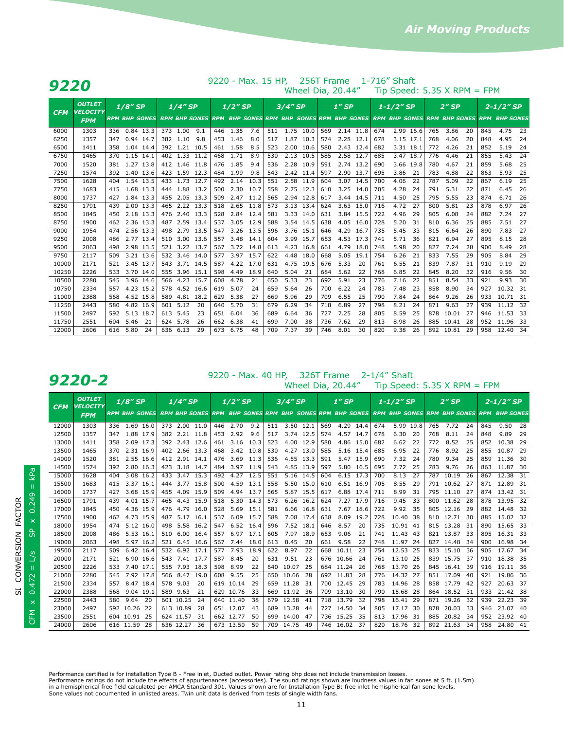|                | 9220 - Max. 15 HP,<br>256T Frame<br>1-716" Shaft<br>9220 |            |               |                        |                      |                           |      |            |              |            |            |              |            |            |                                                                                                              |           |            |              |                |            |                               |          |            |              |          |                |  |
|----------------|----------------------------------------------------------|------------|---------------|------------------------|----------------------|---------------------------|------|------------|--------------|------------|------------|--------------|------------|------------|--------------------------------------------------------------------------------------------------------------|-----------|------------|--------------|----------------|------------|-------------------------------|----------|------------|--------------|----------|----------------|--|
|                |                                                          |            |               |                        |                      |                           |      |            |              |            |            |              |            |            | Wheel Dia, 20.44"                                                                                            |           |            |              |                |            | Tip Speed: $5.35$ X RPM = FPM |          |            |              |          |                |  |
| <b>CFM</b>     | <b>OUTLET</b><br><b>VELOCITY</b>                         |            | $1/8''$ SP    |                        | <b>RPM BHP SONES</b> |                           |      |            |              | $1/4$ "SP  |            |              | $1/2$ " SP |            | 3/4" SP<br>RPM BHP SONES RPM BHP SONES RPM BHP SONES RPM BHP SONES RPM BHP SONES RPM BHP SONES RPM BHP SONES |           | $1''$ SP   |              | $1 - 1/2''$ SP |            |                               |          | $2''$ SP   |              |          | $2 - 1/2''$ SP |  |
|                | <b>FPM</b>                                               |            |               |                        |                      |                           |      |            |              |            |            |              |            |            |                                                                                                              |           |            |              |                |            |                               |          |            |              |          |                |  |
| 6000           | 1303                                                     |            | 336 0.84 13.3 |                        |                      | 373 1.00                  | 9.1  |            | 446 1.35     | 7.6        | 511        | 1.75 10.0    |            | 569        | 2.14 11.8                                                                                                    |           | 674        |              | 2.99 16.6      | 765        | 3.86                          | 20       | 845        | 4.75         | - 23     |                |  |
| 6250           | 1357                                                     | 347        | 0.94 14.7     |                        |                      | 382 1.10                  | 9.8  | 453        | 1.46         | 8.0        | 517        |              | 1.87 10.3  | 574        | 2.28 12.1                                                                                                    |           | 678        | 3.15 17.1    |                | 768        | 4.06                          | 20       | 848        | 4.95         | 24       |                |  |
| 6500           | 1411                                                     | 358        | 1.04 14.4     |                        |                      | 392 1.21 10.5             |      |            | 461 1.58     | 8.5        | 523        |              | 2.00 10.6  | 580        | 2.43 12.4                                                                                                    |           | 682        |              | 3.31 18.1      | 772        | 4.26                          | 21       | 852        | 5.19         | -24      |                |  |
| 6750           | 1465                                                     | 370        | 1.15 14.1     |                        |                      | 402 1.33 11.2             |      | 468        | 1.71         | 8.9        | 530        |              | 2.13 10.5  | 585        | 2.58 12.7                                                                                                    |           | 685        | 3.47 18.7    |                | 776        | 4.46                          | 21       | 855        | 5.43         | 24       |                |  |
| 7000           | 1520                                                     | 381        |               | 1.27 13.8              |                      | 412 1.46 11.8             |      | 476        | 1.85         | 9.4        | 536        |              | 2.28 10.9  | 591        |                                                                                                              | 2.74 13.2 | 690        |              | 3.66 19.8      | 780        | 4.67                          | 21       | 859        | 5.68         | 25       |                |  |
| 7250           | 1574                                                     | 392        |               | 1.40 13.6              |                      | 423 1.59                  | 12.3 | 484        | 1.99         | 9.8        | 543        |              | 2.42 11.4  | 597        | 2.90 13.7                                                                                                    |           | 695        | 3.86         | 21             | 783        | 4.88                          | 22       | 863        | 5.93         | 25       |                |  |
| 7500           | 1628                                                     | 404        | 1.54 13.5     |                        |                      | 433 1.73                  | 12.7 | 492        | 2.14         | 10.3       | 551        |              | 2.58 11.9  | 604        |                                                                                                              | 3.07 14.5 | 700        | 4.06         | 22             | 787        | 5.09                          | 22       | 867        | 6.19         | 25       |                |  |
| 7750           | 1683                                                     | 415        |               | 1.68 13.3              |                      | 444 1.88 13.2             |      | 500        | 2.30         | 10.7       | 558        |              | 2.75 12.3  | 610        | 3.25 14.0                                                                                                    |           | 705        | 4.28         | 24             | 791        | 5.31                          | 22       | 871        | 6.45         | 26       |                |  |
| 8000           | 1737                                                     | 427        |               | 1.84 13.3              |                      | 455 2.05 13.3             |      | 509        | 2.47         | 11.2       | 565        |              | 2.94 12.8  | 617        |                                                                                                              | 3.44 14.5 | 711        | 4.50         | 25             | 795        | 5.55                          | 23       | 874        | 6.71         | 26       |                |  |
| 8250           | 1791                                                     | 439        |               | 2.00 13.3              |                      | 465 2.22 13.3             |      | 518        | 2.65         | 11.8       | 573        |              | 3.13 13.4  | 624        |                                                                                                              | 3.63 15.0 | 716        | 4.72         | 27             | 800        | 5.81                          | 23       | 878        | 6.97         | 26       |                |  |
| 8500           | 1845                                                     | 450        | 2.18          | 13.3                   |                      | 476 2.40                  | 13.3 | 528        | 2.84         | 12.4       | 581        |              | 3.33 14.0  | 631        |                                                                                                              | 3.84 15.5 | 722        | 4.96         | 29             | 805        | 6.08                          | 24       | 882        | 7.24         | 27       |                |  |
| 8750           | 1900                                                     | 462        | 2.36 13.3     |                        |                      | 487 2.59 13.4             |      | 537        | 3.05         | 12.9       | 588        |              | 3.54 14.5  | 638        | 4.05                                                                                                         | 16.0      | 728        | 5.20         | 31             | 810        | 6.36                          | 25       | 885        | 7.51         | 27       |                |  |
| 9000           | 1954                                                     | 474        |               | 2.56 13.3              |                      | 498 2.79 13.5             |      | 547        | 3.26         | 13.5       | 596        | 3.76 15.1    |            | 646        | 4.29                                                                                                         | 16.7      | 735        | 5.45         | 33             | 815        | 6.64                          | 26       | 890        | 7.83         | 27       |                |  |
| 9250           | 2008                                                     | 486        |               | 2.77 13.4              |                      | 510 3.00 13.6             |      | 557        | 3.48         | 14.1       | 604        |              | 3.99 15.7  | 653        |                                                                                                              | 4.53 17.3 | 741        | 5.71         | 36             | 821        | 6.94                          | 27       | 895        | 8.15         | 28       |                |  |
| 9500           | 2063                                                     | 498        | 2.98          | 13.5                   |                      | 521 3.22 13.7             |      | 567        | 3.72         | 14.8       | 613        |              | 4.23 16.8  | 661        | 4.79                                                                                                         | 18.0      | 748        | 5.98         | 20             | 827        | 7.24                          | 28       | 900        | 8.49         | 28       |                |  |
| 9750           | 2117                                                     | 509        |               | 3.21 13.6              |                      | 532 3.46                  | 14.0 | 577        | 3.97         | 15.7       | 622        | 4.48         | 18.0       | 668        | 5.05                                                                                                         | 19.1      | 754        | 6.26         | 21             | 833        | 7.55                          | 29       | 905        | 8.84         | 29       |                |  |
| 10000          | 2171                                                     | 521        |               | 3.45 13.7              |                      | 543 3.71 14.5             |      | 587        | 4.22         | 17.0       | 631        |              | 4.75 19.5  | 676        | 5.33                                                                                                         | 20        | 761        | 6.55         | 21             | 839        | 7.87                          | 31       | 910        | 9.19         | 29       |                |  |
| 10250<br>10500 | 2226                                                     | 533<br>545 |               | 3.70 14.0<br>3.96 14.6 |                      | 555 3.96 15.1<br>566 4.23 | 15.7 | 598<br>608 | 4.49<br>4.78 | 18.9<br>21 | 640<br>650 | 5.04<br>5.33 | 21         | 684<br>692 | 5.62<br>5.91                                                                                                 | 22<br>23  | 768<br>776 | 6.85<br>7.16 | 22<br>22       | 845<br>851 | 8.20<br>8.54                  | 32<br>33 | 916<br>921 | 9.56<br>9.93 | 30<br>30 |                |  |
| 10750          | 2280<br>2334                                             | 557        |               | 4.23 15.2              |                      | 578 4.52                  | 16.6 | 619        | 5.07         | 24         | 659        | 5.64         | 23<br>26   | 700        | 6.22                                                                                                         | 24        | 783        | 7.48         | 23             | 858        | 8.90                          | 34       | 927        | 10.32 31     |          |                |  |
| 11000          | 2388                                                     | 568        |               | 4.52 15.8              |                      | 589 4.81                  | 18.2 | 629        | 5.38         | 27         | 669        | 5.96         | 29         | 709        | 6.55                                                                                                         | 25        | 790        | 7.84         | 24             | 864        | 9.26                          | 26       | 933        | 10.71 31     |          |                |  |
| 11250          | 2443                                                     | 580        |               | 4.82 16.9              |                      | 601 5.12                  | 20   | 640        | 5.70         | 31         | 679        | 6.29         | 34         | 718        | 6.89                                                                                                         | 27        | 798        | 8.21         | 24             | 871        | 9.63                          | 27       | 939        | 11.12 32     |          |                |  |
| 11500          | 2497                                                     | 592        |               | 5.13 18.7              |                      | 613 5.45                  | 23   | 651        | 6.04         | 36         | 689        | 6.64         | 36         | 727        | 7.25                                                                                                         | 28        | 805        | 8.59         | 25             |            | 878 10.01                     | -27      | 946        | 11.53 33     |          |                |  |
| 11750          | 2551                                                     | 604        | 5.46          | 21                     |                      | 624 5.78                  | -26  | 662        | 6.38         | 41         | 699        | 7.00         | 38         | 736        | 7.62                                                                                                         | 29        | 813        | 8.98         | 26             |            | 885 10.41                     | -28      | 952        | 11.96 33     |          |                |  |
| 12000          | 2606                                                     | 616        | 5.80          | 24                     |                      | 636 6.13                  | 29   | 673        | 6.75         | 48         | 709        | 7.37         | 39         | 746        | 8.01                                                                                                         | 30        | 820        | 9.38         | 26             |            | 892 10.81                     | -29      | 958        | 12.40 34     |          |                |  |
|                |                                                          |            |               |                        |                      |                           |      |            |              |            |            |              |            |            |                                                                                                              |           |            |              |                |            |                               |          |            |              |          |                |  |

**9220 - Max. 40 HP, 326T Frame 2-1/4" Shaft**<br>Wheel Dia, 20.44" Tip Speed: 5.35 X RPM = FPM

| <b>CFM</b> | <b>OUTLET</b><br><b>VELOCITY</b> | 1/8" SP              | 1/4" SP                                                                                           | $1/2$ "SP           |     | $3/4$ " SP      |     | $1''$ SP     |     | $1 - 1/2$ "SP |     | $2''$ SP     | $2 - 1/2''$ SP |              |  |
|------------|----------------------------------|----------------------|---------------------------------------------------------------------------------------------------|---------------------|-----|-----------------|-----|--------------|-----|---------------|-----|--------------|----------------|--------------|--|
|            | <b>FPM</b>                       | <b>RPM BHP SONES</b> | RPM BHP SONES RPM BHP SONES RPM BHP SONES RPM BHP SONES RPM BHP SONES RPM BHP SONES RPM BHP SONES |                     |     |                 |     |              |     |               |     |              |                |              |  |
| 12000      | 1303                             | 1.69 16.0<br>336     | 373 2.00 11.0                                                                                     | 2.70<br>9.2<br>446  | 511 | $3.50$ 12.1     | 569 | 4.29 14.4    | 674 | 5.99 19.8     | 765 | 7.72<br>24   | 845            | 9.50<br>-28  |  |
| 12500      | 1357                             | 1.88<br>17.9<br>347  | 382 2.21<br>11.8                                                                                  | 2.92<br>453<br>9.6  | 517 | 3.74<br>12.5    | 574 | 4.57<br>14.7 | 678 | 6.30<br>20    | 768 | 8.11<br>24   | 848            | 9.89<br>29   |  |
| 13000      | 1411                             | 2.09<br>17.3<br>358  | 392 2.43<br>12.6                                                                                  | 3.16<br>10.3<br>461 | 523 | 4.00<br>12.9    | 580 | 4.86<br>15.0 | 682 | 6.62<br>22    | 772 | 8.52<br>25   | 852            | 10.38<br>-29 |  |
| 13500      | 1465                             | 2.31<br>16.9<br>370  | 402 2.66<br>13.3                                                                                  | 468<br>3.42<br>10.8 | 530 | 4.27<br>13.0    | 585 | 5.16<br>15.4 | 685 | 6.95<br>22    | 776 | 8.92<br>25   | 855            | 10.87<br>29  |  |
| 14000      | 1520                             | 2.55<br>16.6<br>381  | 412<br>2.91<br>14.1                                                                               | 3.69<br>476<br>11.3 | 536 | 4.55<br>13.3    | 591 | 5.47<br>15.9 | 690 | 7.32<br>24    | 780 | 9.34<br>25   | 859            | 11.36<br>-30 |  |
| 14500      | 1574                             | 2.80<br>16.3<br>392  | 423<br>3.18<br>14.7                                                                               | 484<br>3.97<br>11.9 | 543 | 4.85<br>13.9    | 597 | 5.80<br>16.5 | 695 | 7.72<br>25    | 783 | 9.76<br>26   | 863            | 11.87<br>30  |  |
| 15000      | 1628                             | 3.08<br>16.2<br>404  | 3.47<br>15.3<br>433                                                                               | 4.27<br>12.5<br>492 | 551 | 5.16<br>14.5    | 604 | 6.15<br>17.3 | 700 | 8.13<br>27    | 787 | 10.19<br>26  | 867            | 12.38<br>31  |  |
| 15500      | 1683                             | 3.37<br>415<br>16.1  | 3.77<br>15.8<br>444                                                                               | 4.59<br>13.1<br>500 | 558 | 5.50<br>15.0    | 610 | 6.51<br>16.9 | 705 | 8.55<br>29    | 791 | 10.62<br>-27 | 871            | 12.89<br>-31 |  |
| 16000      | 1737                             | 3.68 15.9<br>427     | 455 4.09<br>15.9                                                                                  | 509<br>4.94<br>13.7 | 565 | 5.87<br>15.5    | 617 | 6.88<br>17.4 | 711 | 8.99<br>31    | 795 | 11.10<br>-27 | 874            | 13.42 31     |  |
| 16500      | 1791                             | 4.01<br>15.7<br>439  | 15.9<br>465<br>4.43                                                                               | 5.30<br>518<br>14.3 | 573 | 6.26<br>16.2    | 624 | 7.27<br>17.9 | 716 | 9.45<br>33    | 800 | 11.62<br>-28 | 878            | 13.95<br>32  |  |
| 17000      | 1845                             | 4.36 15.9<br>450     | 4.79<br>476<br>16.0                                                                               | 528<br>5.69<br>15.1 | 581 | 6.66 16.8       | 631 | 7.67<br>18.6 | 722 | 9.92<br>35    | 805 | 12.16<br>29  | 882            | 14.48<br>32  |  |
| 17500      | 1900                             | 4.73<br>15.9<br>462  | 487<br>5.17<br>16.1                                                                               | 6.09<br>15.7<br>537 | 588 | 7.08<br>17.4    | 638 | 8.09<br>19.2 | 728 | 10.40<br>-38  | 810 | 12.71<br>30  | 885            | 15.02<br>-32 |  |
| 18000      | 1954                             | 5.12<br>16.0<br>474  | 5.58<br>498<br>16.2                                                                               | 547<br>6.52<br>16.4 | 596 | 7.52<br>18.1    | 646 | 8.57<br>20   | 735 | 10.91<br>41   | 815 | 13.28<br>31  | 890            | 15.65<br>33  |  |
| 18500      | 2008                             | 5.53<br>486<br>16.1  | 510<br>6.00<br>16.4                                                                               | 6.97<br>17.1<br>557 | 605 | 7.97<br>18.9    | 653 | 9.06<br>21   | 741 | 11.43<br>-43  | 821 | 13.87<br>-33 | 895            | 16.31<br>-33 |  |
| 19000      | 2063                             | 498<br>5.97<br>16.2  | 521 6.45<br>16.6                                                                                  | 7.44<br>18.0<br>567 | 613 | 8.45<br>20      | 661 | 9.58<br>22   | 748 | 11.97<br>-24  | 827 | 14.48<br>-34 | 900            | 16.98<br>-34 |  |
| 19500      | 2117                             | 6.42 16.4<br>509     | 532 6.92<br>17.1                                                                                  | 7.93<br>18.9<br>577 | 622 | 8.97<br>22      | 668 | 23<br>10.11  | 754 | 12.53<br>25   | 833 | 15.10<br>36  | 905            | 17.67<br>34  |  |
| 20000      | 2171                             | 6.90<br>16.6<br>521  | 543<br>7.41<br>17.7                                                                               | 8.45<br>587<br>20   | 631 | 9.51<br>-23     | 676 | 10.66<br>24  | 761 | 13.10<br>-25  | 839 | 15.75<br>-37 | 910            | 18.38<br>35  |  |
| 20500      | 2226                             | 7.40 17.1<br>533     | 555 7.93<br>18.3                                                                                  | 598<br>8.99<br>22   | 640 | 10.07<br>25     | 684 | 11.24<br>26  | 768 | 13.70<br>-26  | 845 | 16.41<br>39  | 916            | 19.11<br>36  |  |
| 21000      | 2280                             | 7.92<br>545<br>17.8  | 566<br>8.47<br>19.0                                                                               | 608<br>9.55<br>25   | 650 | 10.66<br>-28    | 692 | 11.83<br>28  | 776 | 14.32<br>27   | 851 | 17.09<br>40  | 921            | 36<br>19.86  |  |
| 21500      | 2334                             | 8.47<br>18.4<br>557  | 578<br>9.03<br>20                                                                                 | 619<br>10.14<br>29  | 659 | 11.28<br>31     | 700 | 12.45<br>29  | 783 | 14.96<br>28   | 858 | 17.79<br>-42 | 927            | 20.63<br>-37 |  |
| 22000      | 2388                             | 9.04<br>568<br>19.1  | 9.63<br>589<br>21                                                                                 | 629<br>10.76<br>33  | 669 | 11.92<br>-36    | 709 | 13.10<br>30  | 790 | 15.68<br>-28  | 864 | 18.52<br>31  | 933            | 21.42 38     |  |
| 22500      | 2443                             | 9.64<br>580<br>20    | 601 10.25<br>24                                                                                   | 640 11.40<br>38     | 679 | 12.58<br>41     | 718 | 13.79<br>32  | 798 | 16.41<br>29   | 871 | 19.26<br>32  | 939            | 22.23<br>39  |  |
| 23000      | 2497                             | 592 10.26<br>22      | 613 10.89<br>28                                                                                   | 651 12.07<br>43     | 689 | 13.28<br>44     | 727 | 14.50<br>34  | 805 | 17.17<br>-30  | 878 | 20.03<br>33  | 946            | 23.07<br>40  |  |
| 23500      | 2551                             | 604 10.91<br>25      | 624 11.57<br>31                                                                                   | 662 12.77<br>50     | 699 | 14.00<br>-47    | 736 | 15.25<br>35  | 813 | 17.96<br>31   | 885 | 20.82<br>34  | 952            | 23.92<br>-40 |  |
| 24000      | 2606                             | 616 11.59<br>-28     | 636 12.27<br>36                                                                                   | 673 13.50<br>59     |     | 709 14.75<br>49 | 746 | 16.02<br>-37 | 820 | 18.76<br>-32  | 892 | 21.63<br>34  | 958            | 24.80 41     |  |

CFM x  $0.472 = L/s$  SP x  $0.249 = kPa$ CFM  $\times$  0.472 = L/s SP  $\times$  0.249 = kPa SI CONVERSION FACTOR SI CONVERSION FACTOR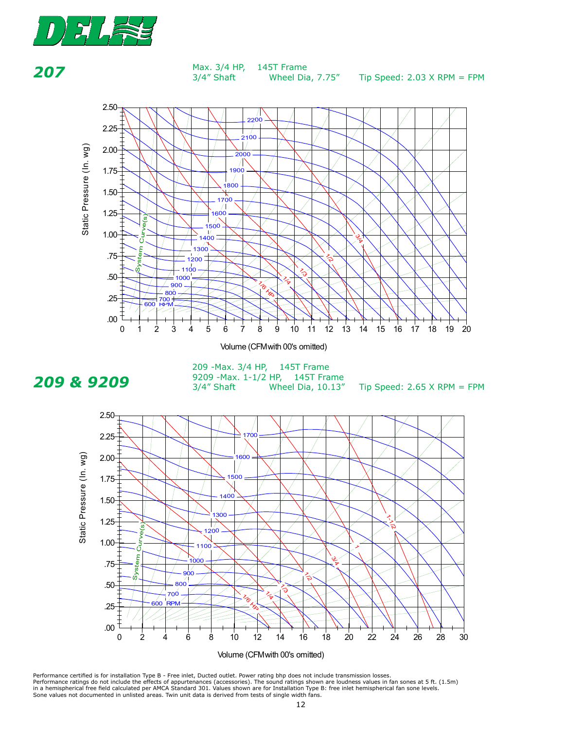

**207** Max. 3/4 HP,  $3/4''$  Shaft Wheel Dia, 7.75" Tip Speed: 2.03 X RPM = FPM discharge with A.M.C.A. 210-85. Tested with A.M.C.A. 210-85. Tested with a set of the set of the set of the set of the set of the set of the set of the set of the set of the set of the set of the set of the set of the set Wheel Dia,  $7.75''$ 



Volume (CFM with 00's omitted)



**209 & 9209**<br> **147 Shaft** Wheel Dia, 10.13  $3/4$ " Shaft Wheel Dia, 10.13" Tip Speed: 2.65 X RPM = FPM 209 -Max. 3/4 HP, 145T Frame 209 Piax: 9/4 Hit, 1491 Hallie<br>9209 -Max. 1-1/2 HP, 145T Frame 3/4" Shaft *3/4" 3/4"* Wheel Dia,  $10.13''$ 

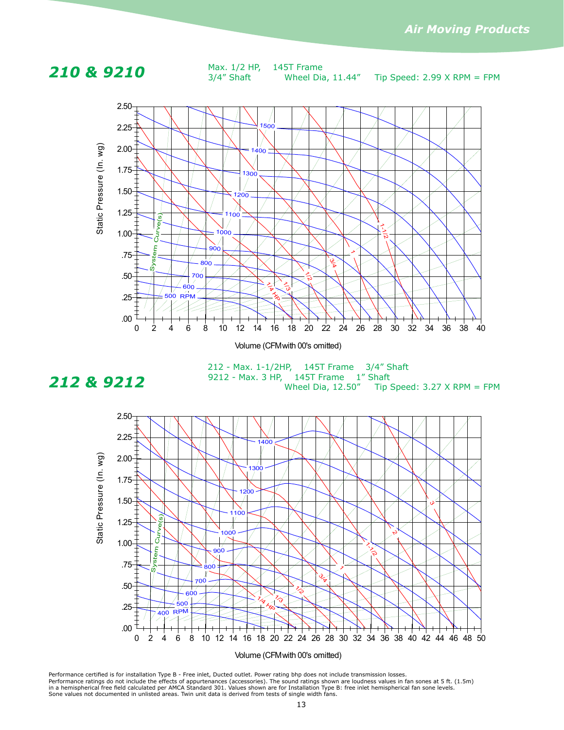**210 & 9210** Max. 1/2 HP, 145T Frame  $3/4$ " Shaft Wheel Dia, 11.44" Tip Speed: 2.99 X RPM = FPM Max. 1/2 HP, 145T Frame *2500 2500 3/4" 3/4"* Wheel Dia,  $11.44''$ 



# **Max 212**

**212 & 9212** 9212 - Max. 3 HP, 145T Frame 1" Shaft<br>Wheel Dia. 12.50" Tip Wheel Dia, 12.50" Tip Speed: 3.27 X RPM = FPM 212 - Max. 1-1/2HP, 145T Frame 3/4" Shaft

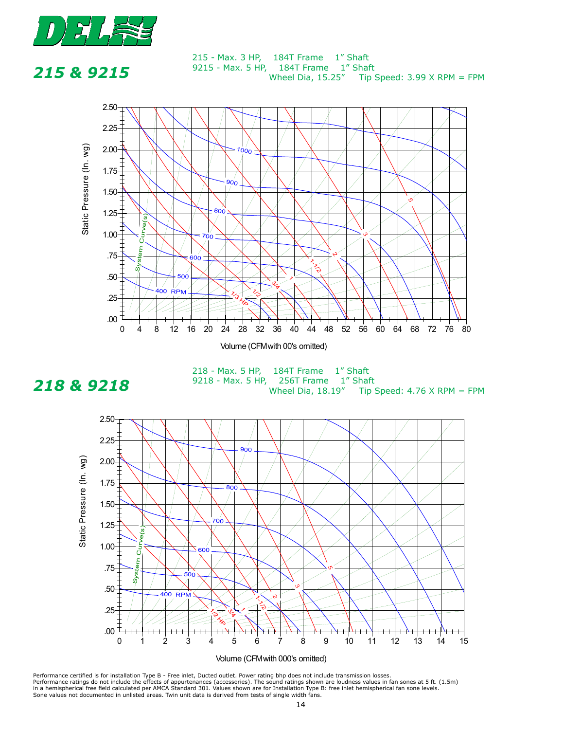

**215** 

### **215 & 9215**<br><sup>9215</sup> - Max. 5 HP, 184T Frame 1" Shaft Wheel Dia,  $15.25''$  Tip Speed:  $3.99$  X RPM = FPM 215 - Max. 3 HP, 184T Frame 1" Shaft Wheel Dia,  $15.25''$



**218 & 9218**<br><sup>9218</sup> - Max. 5 HP, 256T Frame 1" Shaft<br>Wheel Dia. 18.19" Tip Esor Hame Themate<br>Wheel Dia, 18.19" Tip Speed: 4.76 X RPM = FPM 218 - Max. 5 HP, 184T Frame 1" Shaft



Performance certified is for installation Type B - Free inlet, Ducted outlet. Power rating bhp does not include transmission losses.<br>Performance ratings do not include the effects of appurtenances (accessories). The sound

# **Max 18**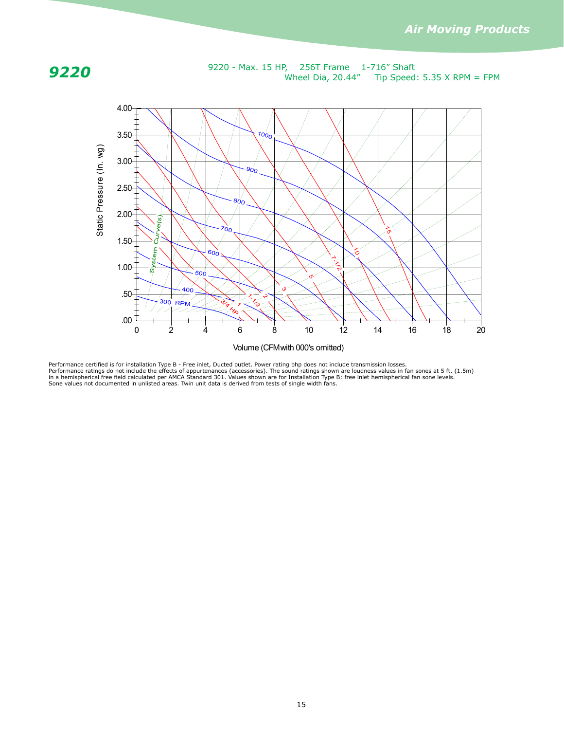

**9220** - Max. 15 HP, 256T Frame 1-716" Shaft **9220**<br>Wheel Dia, 20.44" Tip Speed: 5.35 X RPM = FPM 256T Frame  $1-716''$  Shaft<br>Vheel Dia, 20.44" Tip Speed: 5.35 X RPM = F